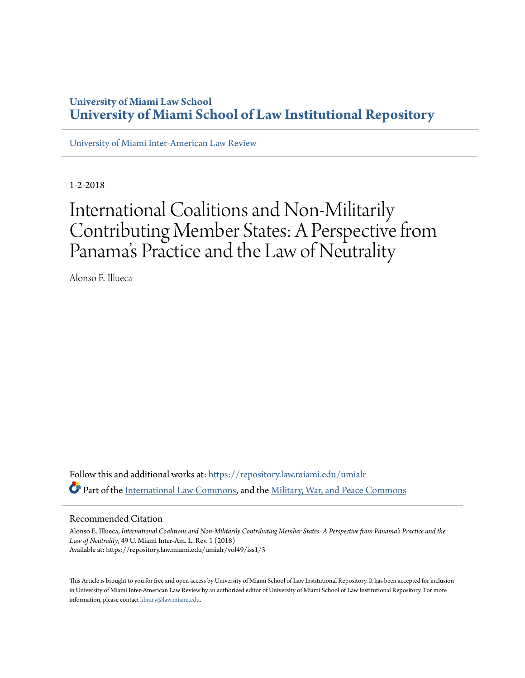## **University of Miami Law School [University of Miami School of Law Institutional Repository](https://repository.law.miami.edu?utm_source=repository.law.miami.edu%2Fumialr%2Fvol49%2Fiss1%2F3&utm_medium=PDF&utm_campaign=PDFCoverPages)**

[University of Miami Inter-American Law Review](https://repository.law.miami.edu/umialr?utm_source=repository.law.miami.edu%2Fumialr%2Fvol49%2Fiss1%2F3&utm_medium=PDF&utm_campaign=PDFCoverPages)

1-2-2018

# International Coalitions and Non-Militarily Contributing Member States: A Perspective from Panama 's Practice and the Law of Neutrality

Alonso E. Illueca

Follow this and additional works at: [https://repository.law.miami.edu/umialr](https://repository.law.miami.edu/umialr?utm_source=repository.law.miami.edu%2Fumialr%2Fvol49%2Fiss1%2F3&utm_medium=PDF&utm_campaign=PDFCoverPages) Part of the [International Law Commons,](http://network.bepress.com/hgg/discipline/609?utm_source=repository.law.miami.edu%2Fumialr%2Fvol49%2Fiss1%2F3&utm_medium=PDF&utm_campaign=PDFCoverPages) and the [Military, War, and Peace Commons](http://network.bepress.com/hgg/discipline/861?utm_source=repository.law.miami.edu%2Fumialr%2Fvol49%2Fiss1%2F3&utm_medium=PDF&utm_campaign=PDFCoverPages)

## Recommended Citation

Alonso E. Illueca, *International Coalitions and Non-Militarily Contributing Member States: A Perspective from Panama's Practice and the Law of Neutrality*, 49 U. Miami Inter-Am. L. Rev. 1 (2018) Available at: https://repository.law.miami.edu/umialr/vol49/iss1/3

This Article is brought to you for free and open access by University of Miami School of Law Institutional Repository. It has been accepted for inclusion in University of Miami Inter-American Law Review by an authorized editor of University of Miami School of Law Institutional Repository. For more information, please contact [library@law.miami.edu.](mailto:library@law.miami.edu)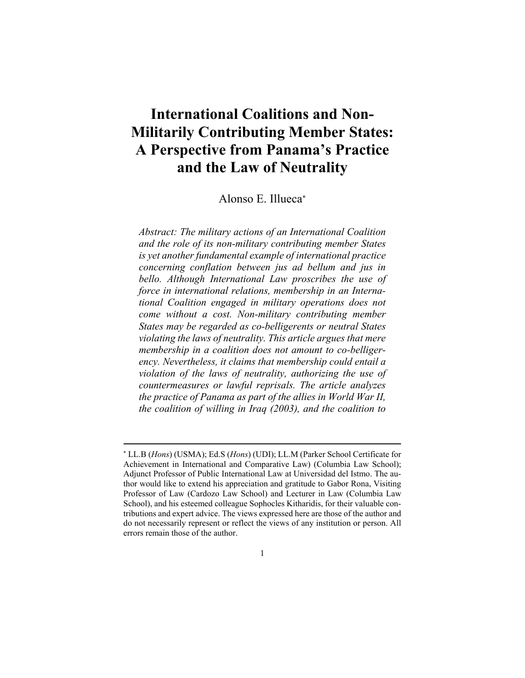## **International Coalitions and Non-Militarily Contributing Member States: A Perspective from Panama's Practice and the Law of Neutrality**

Alonso E. Illueca

*Abstract: The military actions of an International Coalition and the role of its non-military contributing member States is yet another fundamental example of international practice concerning conflation between jus ad bellum and jus in bello. Although International Law proscribes the use of force in international relations, membership in an International Coalition engaged in military operations does not come without a cost. Non-military contributing member States may be regarded as co-belligerents or neutral States violating the laws of neutrality. This article argues that mere membership in a coalition does not amount to co-belligerency. Nevertheless, it claims that membership could entail a violation of the laws of neutrality, authorizing the use of countermeasures or lawful reprisals. The article analyzes the practice of Panama as part of the allies in World War II, the coalition of willing in Iraq (2003), and the coalition to* 

 LL.B (*Hons*) (USMA); Ed.S (*Hons*) (UDI); LL.M (Parker School Certificate for Achievement in International and Comparative Law) (Columbia Law School); Adjunct Professor of Public International Law at Universidad del Istmo. The author would like to extend his appreciation and gratitude to Gabor Rona, Visiting Professor of Law (Cardozo Law School) and Lecturer in Law (Columbia Law School), and his esteemed colleague Sophocles Kitharidis, for their valuable contributions and expert advice. The views expressed here are those of the author and do not necessarily represent or reflect the views of any institution or person. All errors remain those of the author.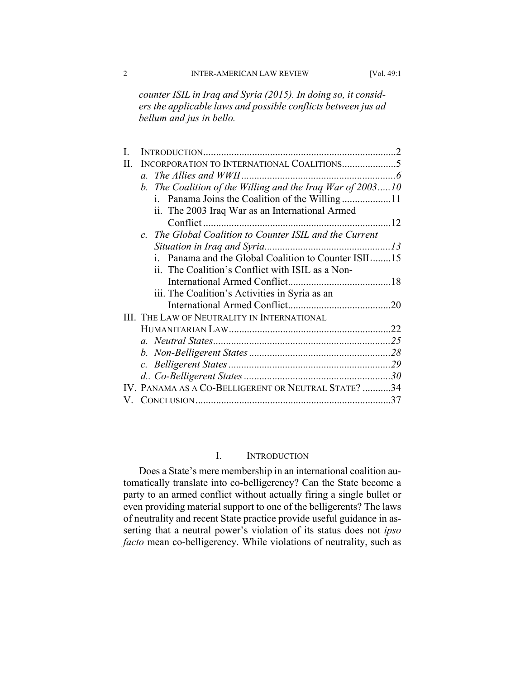*counter ISIL in Iraq and Syria (2015). In doing so, it considers the applicable laws and possible conflicts between jus ad bellum and jus in bello.* 

| H. |                                                            |  |
|----|------------------------------------------------------------|--|
|    |                                                            |  |
|    | b. The Coalition of the Willing and the Iraq War of 200310 |  |
|    |                                                            |  |
|    | ii. The 2003 Iraq War as an International Armed            |  |
|    |                                                            |  |
|    | c. The Global Coalition to Counter ISIL and the Current    |  |
|    |                                                            |  |
|    | i. Panama and the Global Coalition to Counter ISIL15       |  |
|    | ii. The Coalition's Conflict with ISIL as a Non-           |  |
|    |                                                            |  |
|    | iii. The Coalition's Activities in Syria as an             |  |
|    |                                                            |  |
|    | <b>III. THE LAW OF NEUTRALITY IN INTERNATIONAL</b>         |  |
|    |                                                            |  |
|    |                                                            |  |
|    |                                                            |  |
|    |                                                            |  |
|    |                                                            |  |
|    | IV. PANAMA AS A CO-BELLIGERENT OR NEUTRAL STATE? 34        |  |
|    |                                                            |  |

## I. INTRODUCTION

Does a State's mere membership in an international coalition automatically translate into co-belligerency? Can the State become a party to an armed conflict without actually firing a single bullet or even providing material support to one of the belligerents? The laws of neutrality and recent State practice provide useful guidance in asserting that a neutral power's violation of its status does not *ipso facto* mean co-belligerency. While violations of neutrality, such as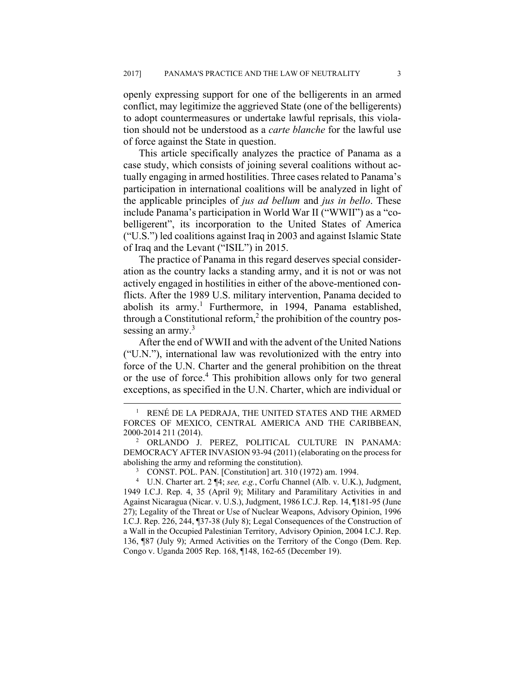openly expressing support for one of the belligerents in an armed conflict, may legitimize the aggrieved State (one of the belligerents) to adopt countermeasures or undertake lawful reprisals, this violation should not be understood as a *carte blanche* for the lawful use of force against the State in question.

This article specifically analyzes the practice of Panama as a case study, which consists of joining several coalitions without actually engaging in armed hostilities. Three cases related to Panama's participation in international coalitions will be analyzed in light of the applicable principles of *jus ad bellum* and *jus in bello*. These include Panama's participation in World War II ("WWII") as a "cobelligerent", its incorporation to the United States of America ("U.S.") led coalitions against Iraq in 2003 and against Islamic State of Iraq and the Levant ("ISIL") in 2015.

The practice of Panama in this regard deserves special consideration as the country lacks a standing army, and it is not or was not actively engaged in hostilities in either of the above-mentioned conflicts. After the 1989 U.S. military intervention, Panama decided to abolish its army.<sup>1</sup> Furthermore, in 1994, Panama established, through a Constitutional reform, $<sup>2</sup>$  the prohibition of the country pos-</sup> sessing an army. $3$ 

After the end of WWII and with the advent of the United Nations ("U.N."), international law was revolutionized with the entry into force of the U.N. Charter and the general prohibition on the threat or the use of force.<sup>4</sup> This prohibition allows only for two general exceptions, as specified in the U.N. Charter, which are individual or

 $\frac{1}{1}$  RENÉ DE LA PEDRAJA, THE UNITED STATES AND THE ARMED FORCES OF MEXICO, CENTRAL AMERICA AND THE CARIBBEAN, 2000-2014 211 (2014). 2

ORLANDO J. PEREZ, POLITICAL CULTURE IN PANAMA: DEMOCRACY AFTER INVASION 93-94 (2011) (elaborating on the process for abolishing the army and reforming the constitution).

CONST. POL. PAN. [Constitution] art. 310 (1972) am. 1994.

<sup>4</sup> U.N. Charter art. 2 ¶4; *see, e.g.*, Corfu Channel (Alb. v. U.K.), Judgment, 1949 I.C.J. Rep. 4, 35 (April 9); Military and Paramilitary Activities in and Against Nicaragua (Nicar. v. U.S.), Judgment, 1986 I.C.J. Rep. 14, ¶181-95 (June 27); Legality of the Threat or Use of Nuclear Weapons, Advisory Opinion, 1996 I.C.J. Rep. 226, 244, ¶37-38 (July 8); Legal Consequences of the Construction of a Wall in the Occupied Palestinian Territory, Advisory Opinion, 2004 I.C.J. Rep. 136, ¶87 (July 9); Armed Activities on the Territory of the Congo (Dem. Rep. Congo v. Uganda 2005 Rep. 168, ¶148, 162-65 (December 19).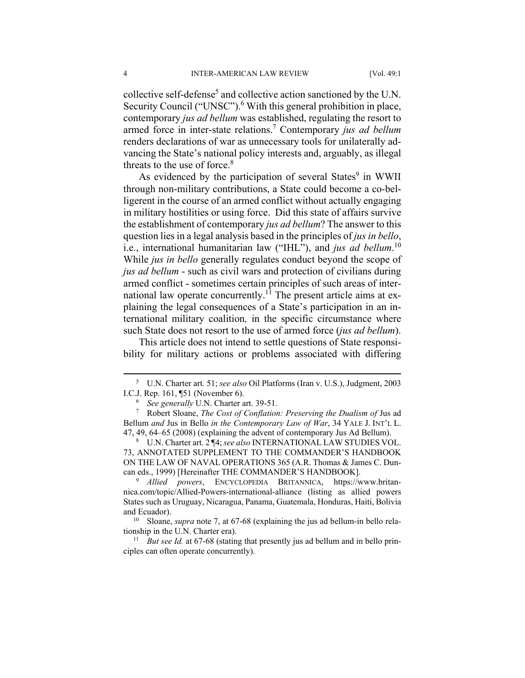collective self-defense<sup>5</sup> and collective action sanctioned by the U.N. Security Council ("UNSC").<sup>6</sup> With this general prohibition in place, contemporary *jus ad bellum* was established, regulating the resort to armed force in inter-state relations.<sup>7</sup> Contemporary *jus ad bellum* renders declarations of war as unnecessary tools for unilaterally advancing the State's national policy interests and, arguably, as illegal threats to the use of force. $8$ 

As evidenced by the participation of several States<sup>9</sup> in WWII through non-military contributions, a State could become a co-belligerent in the course of an armed conflict without actually engaging in military hostilities or using force. Did this state of affairs survive the establishment of contemporary *jus ad bellum*? The answer to this question lies in a legal analysis based in the principles of *jus in bello*, i.e., international humanitarian law ("IHL"), and *jus ad bellum*. 10 While *jus in bello* generally regulates conduct beyond the scope of *jus ad bellum* - such as civil wars and protection of civilians during armed conflict - sometimes certain principles of such areas of international law operate concurrently.<sup>11</sup> The present article aims at explaining the legal consequences of a State's participation in an international military coalition*,* in the specific circumstance where such State does not resort to the use of armed force (*jus ad bellum*).

This article does not intend to settle questions of State responsibility for military actions or problems associated with differing

 $\frac{1}{5}$  U.N. Charter art. 51; *see also* Oil Platforms (Iran v. U.S.), Judgment, 2003 I.C.J. Rep. 161, ¶51 (November 6).

<sup>&</sup>lt;sup>6</sup> See generally U.N. Charter art. 39-51.

Robert Sloane, *The Cost of Conflation: Preserving the Dualism of* Jus ad Bellum *and* Jus in Bello *in the Contemporary Law of War*, 34 YALE J. INT'L L. 47, 49, 64–65 (2008) (explaining the advent of contemporary Jus Ad Bellum). 8

U.N. Charter art. 2 ¶4; *see also* INTERNATIONAL LAW STUDIES VOL. 73, ANNOTATED SUPPLEMENT TO THE COMMANDER'S HANDBOOK ON THE LAW OF NAVAL OPERATIONS 365 (A.R. Thomas & James C. Duncan eds., 1999) [Hereinafter THE COMMANDER'S HANDBOOK].

*Allied powers*, ENCYCLOPEDIA BRITANNICA, https://www.britannica.com/topic/Allied-Powers-international-alliance (listing as allied powers States such as Uruguay, Nicaragua, Panama, Guatemala, Honduras, Haiti, Bolivia and Ecuador). 10 Sloane, *supra* note 7, at 67-68 (explaining the jus ad bellum-in bello rela-

tionship in the U.N. Charter era).<br><sup>11</sup> *But see 1d*. at 67-68 (stating that presently jus ad bellum and in bello prin-

ciples can often operate concurrently).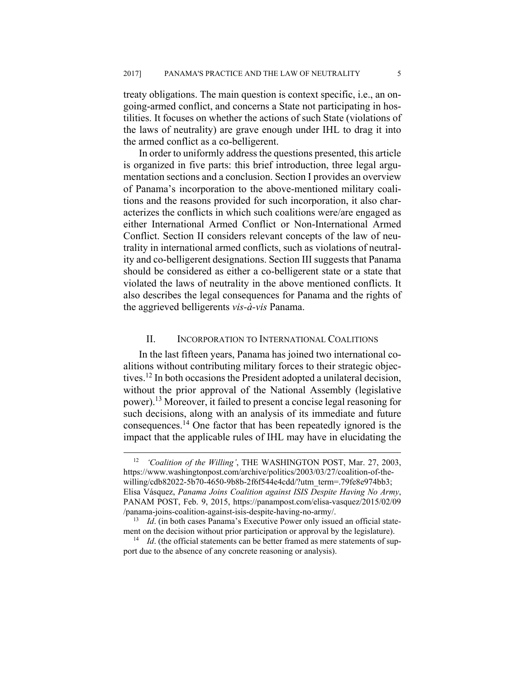treaty obligations. The main question is context specific, i.e., an ongoing-armed conflict, and concerns a State not participating in hostilities. It focuses on whether the actions of such State (violations of the laws of neutrality) are grave enough under IHL to drag it into the armed conflict as a co-belligerent.

In order to uniformly address the questions presented, this article is organized in five parts: this brief introduction, three legal argumentation sections and a conclusion. Section I provides an overview of Panama's incorporation to the above-mentioned military coalitions and the reasons provided for such incorporation, it also characterizes the conflicts in which such coalitions were/are engaged as either International Armed Conflict or Non-International Armed Conflict. Section II considers relevant concepts of the law of neutrality in international armed conflicts, such as violations of neutrality and co-belligerent designations. Section III suggests that Panama should be considered as either a co-belligerent state or a state that violated the laws of neutrality in the above mentioned conflicts. It also describes the legal consequences for Panama and the rights of the aggrieved belligerents *vis-à-vis* Panama.

## II. INCORPORATION TO INTERNATIONAL COALITIONS

In the last fifteen years, Panama has joined two international coalitions without contributing military forces to their strategic objectives.12 In both occasions the President adopted a unilateral decision, without the prior approval of the National Assembly (legislative power).13 Moreover, it failed to present a concise legal reasoning for such decisions, along with an analysis of its immediate and future consequences.14 One factor that has been repeatedly ignored is the impact that the applicable rules of IHL may have in elucidating the

 <sup>12</sup> *'Coalition of the Willing'*, THE WASHINGTON POST, Mar. 27, 2003, https://www.washingtonpost.com/archive/politics/2003/03/27/coalition-of-thewilling/cdb82022-5b70-4650-9b8b-2f6f544e4cdd/?utm\_term=.79fe8e974bb3; Elisa Vásquez, *Panama Joins Coalition against ISIS Despite Having No Army*, PANAM POST, Feb. 9, 2015, https://panampost.com/elisa-vasquez/2015/02/09 /panama-joins-coalition-against-isis-despite-having-no-army/. 13 *Id*. (in both cases Panama's Executive Power only issued an official state-

ment on the decision without prior participation or approval by the legislature).<br><sup>14</sup> *Id*. (the official statements can be better framed as mere statements of support due to the absence of any concrete reasoning or analysis).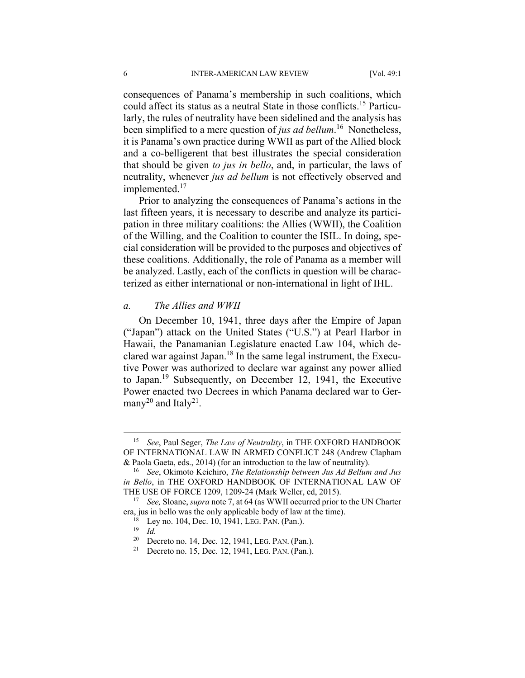consequences of Panama's membership in such coalitions, which could affect its status as a neutral State in those conflicts.15 Particularly, the rules of neutrality have been sidelined and the analysis has been simplified to a mere question of *jus ad bellum*. 16 Nonetheless, it is Panama's own practice during WWII as part of the Allied block and a co-belligerent that best illustrates the special consideration that should be given *to jus in bello*, and, in particular, the laws of neutrality, whenever *jus ad bellum* is not effectively observed and implemented.<sup>17</sup>

Prior to analyzing the consequences of Panama's actions in the last fifteen years, it is necessary to describe and analyze its participation in three military coalitions: the Allies (WWII), the Coalition of the Willing, and the Coalition to counter the ISIL. In doing, special consideration will be provided to the purposes and objectives of these coalitions. Additionally, the role of Panama as a member will be analyzed. Lastly, each of the conflicts in question will be characterized as either international or non-international in light of IHL.

## *a. The Allies and WWII*

On December 10, 1941, three days after the Empire of Japan ("Japan") attack on the United States ("U.S.") at Pearl Harbor in Hawaii, the Panamanian Legislature enacted Law 104, which declared war against Japan.18 In the same legal instrument, the Executive Power was authorized to declare war against any power allied to Japan.19 Subsequently, on December 12, 1941, the Executive Power enacted two Decrees in which Panama declared war to Germany<sup>20</sup> and Italy<sup>21</sup>.

 <sup>15</sup> *See*, Paul Seger, *The Law of Neutrality*, in THE OXFORD HANDBOOK OF INTERNATIONAL LAW IN ARMED CONFLICT 248 (Andrew Clapham

<sup>&</sup>amp; Paola Gaeta, eds., 2014) (for an introduction to the law of neutrality). 16 *See*, Okimoto Keichiro, *The Relationship between Jus Ad Bellum and Jus in Bello*, in THE OXFORD HANDBOOK OF INTERNATIONAL LAW OF THE USE OF FORCE 1209, 1209-24 (Mark Weller, ed, 2015). 17 *See,* Sloane, *supra* note 7, at 64 (as WWII occurred prior to the UN Charter

era, jus in bello was the only applicable body of law at the time).<br><sup>18</sup> Ley no. 104, Dec. 10, 1941, LEG. PAN. (Pan.).<br><sup>19</sup> *Id.* Decreto no. 14, Dec. 12, 1941, LEG. PAN. (Pan.).

<sup>&</sup>lt;sup>21</sup> Decreto no. 15, Dec. 12, 1941, LEG. PAN. (Pan.).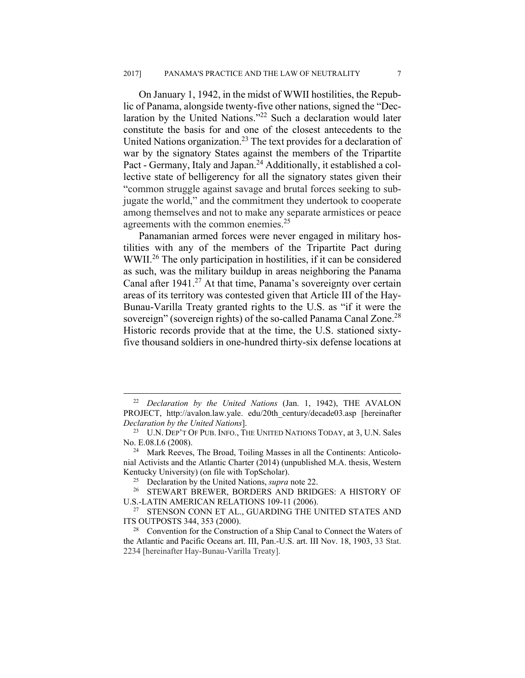On January 1, 1942, in the midst of WWII hostilities, the Republic of Panama, alongside twenty-five other nations, signed the "Declaration by the United Nations."22 Such a declaration would later constitute the basis for and one of the closest antecedents to the United Nations organization.<sup>23</sup> The text provides for a declaration of war by the signatory States against the members of the Tripartite Pact - Germany, Italy and Japan.24 Additionally, it established a collective state of belligerency for all the signatory states given their "common struggle against savage and brutal forces seeking to subjugate the world," and the commitment they undertook to cooperate among themselves and not to make any separate armistices or peace agreements with the common enemies.<sup>25</sup>

Panamanian armed forces were never engaged in military hostilities with any of the members of the Tripartite Pact during WWII.<sup>26</sup> The only participation in hostilities, if it can be considered as such, was the military buildup in areas neighboring the Panama Canal after  $1941<sup>27</sup>$  At that time, Panama's sovereignty over certain areas of its territory was contested given that Article III of the Hay-Bunau-Varilla Treaty granted rights to the U.S. as "if it were the sovereign" (sovereign rights) of the so-called Panama Canal Zone.<sup>28</sup> Historic records provide that at the time, the U.S. stationed sixtyfive thousand soldiers in one-hundred thirty-six defense locations at

 <sup>22</sup> *Declaration by the United Nations* (Jan. 1, 1942), THE AVALON PROJECT, http://avalon.law.yale. edu/20th\_century/decade03.asp [hereinafter *Declaration by the United Nations*]. 23 U.N. DEP'T OF PUB. INFO., THE UNITED NATIONS TODAY, at 3, U.N. Sales

No. E.08.I.6 (2008).<br><sup>24</sup> Mark Reeves, The Broad, Toiling Masses in all the Continents: Anticolo-

nial Activists and the Atlantic Charter (2014) (unpublished M.A. thesis, Western Kentucky University) (on file with TopScholar).<br><sup>25</sup> Declaration by the United Nations, *supra* note 22.<br><sup>26</sup> STEWART BREWER, BORDERS AND BRIDGES: A HISTORY OF

U.S.-LATIN AMERICAN RELATIONS 109-11 (2006).<br><sup>27</sup> STENSON CONN ET AL., GUARDING THE UNITED STATES AND ITS OUTPOSTS 344, 353 (2000). 28 Convention for the Construction of a Ship Canal to Connect the Waters of

the Atlantic and Pacific Oceans art. III, Pan.-U.S. art. III Nov. 18, 1903, 33 Stat. 2234 [hereinafter Hay-Bunau-Varilla Treaty].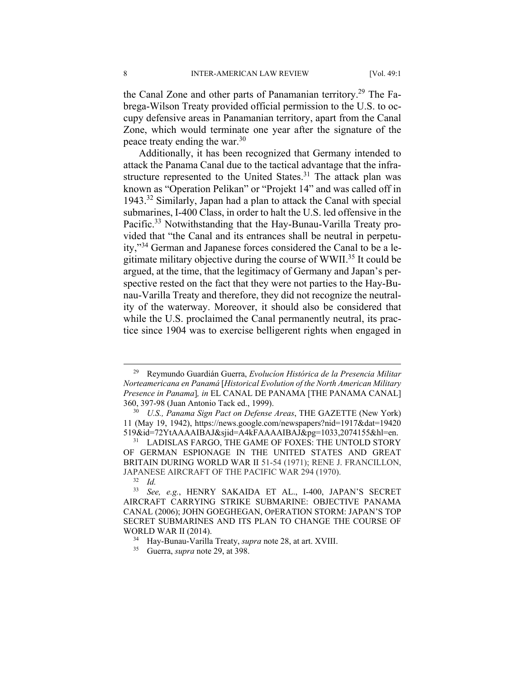the Canal Zone and other parts of Panamanian territory.<sup>29</sup> The Fabrega-Wilson Treaty provided official permission to the U.S. to occupy defensive areas in Panamanian territory, apart from the Canal Zone, which would terminate one year after the signature of the peace treaty ending the war.<sup>30</sup>

Additionally, it has been recognized that Germany intended to attack the Panama Canal due to the tactical advantage that the infrastructure represented to the United States.<sup>31</sup> The attack plan was known as "Operation Pelikan" or "Projekt 14" and was called off in 1943.32 Similarly, Japan had a plan to attack the Canal with special submarines, I-400 Class, in order to halt the U.S. led offensive in the Pacific.<sup>33</sup> Notwithstanding that the Hay-Bunau-Varilla Treaty provided that "the Canal and its entrances shall be neutral in perpetuity,"34 German and Japanese forces considered the Canal to be a legitimate military objective during the course of WWII.35 It could be argued, at the time, that the legitimacy of Germany and Japan's perspective rested on the fact that they were not parties to the Hay-Bunau-Varilla Treaty and therefore, they did not recognize the neutrality of the waterway. Moreover, it should also be considered that while the U.S. proclaimed the Canal permanently neutral, its practice since 1904 was to exercise belligerent rights when engaged in

 <sup>29</sup> Reymundo Guardián Guerra, *Evolucíon Histórica de la Presencia Militar Norteamericana en Panamá* [*Historical Evolution of the North American Military Presence in Panama*]*, in* EL CANAL DE PANAMA [THE PANAMA CANAL] 360, 397-98 (Juan Antonio Tack ed., 1999). 30 *U.S., Panama Sign Pact on Defense Areas*, THE GAZETTE (New York)

<sup>11 (</sup>May 19, 1942), https://news.google.com/newspapers?nid=1917&dat=19420 519&id=72YtAAAAIBAJ&sjid=A4kFAAAAIBAJ&pg=1033,2074155&hl=en.<br><sup>31</sup> LADISLAS FARGO, THE GAME OF FOXES: THE UNTOLD STORY

OF GERMAN ESPIONAGE IN THE UNITED STATES AND GREAT BRITAIN DURING WORLD WAR II 51-54 (1971); RENE J. FRANCILLON, JAPANESE AIRCRAFT OF THE PACIFIC WAR 294 (1970).

<sup>32</sup> *Id.*

<sup>33</sup> *See, e.g.*, HENRY SAKAIDA ET AL., I-400, JAPAN'S SECRET AIRCRAFT CARRYING STRIKE SUBMARINE: OBJECTIVE PANAMA CANAL (2006); JOHN GOEGHEGAN, OPERATION STORM: JAPAN'S TOP SECRET SUBMARINES AND ITS PLAN TO CHANGE THE COURSE OF WORLD WAR II (2014). 34 Hay-Bunau-Varilla Treaty, *supra* note 28, at art. XVIII. 35 Guerra, *supra* note 29, at 398.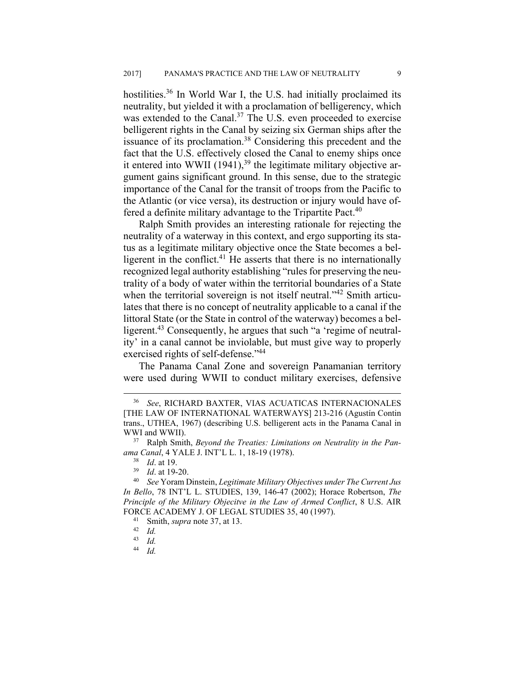hostilities.<sup>36</sup> In World War I, the U.S. had initially proclaimed its neutrality, but yielded it with a proclamation of belligerency, which was extended to the Canal.<sup>37</sup> The U.S. even proceeded to exercise belligerent rights in the Canal by seizing six German ships after the issuance of its proclamation.38 Considering this precedent and the fact that the U.S. effectively closed the Canal to enemy ships once it entered into WWII  $(1941)$ ,<sup>39</sup> the legitimate military objective argument gains significant ground. In this sense, due to the strategic importance of the Canal for the transit of troops from the Pacific to the Atlantic (or vice versa), its destruction or injury would have offered a definite military advantage to the Tripartite Pact.<sup>40</sup>

Ralph Smith provides an interesting rationale for rejecting the neutrality of a waterway in this context, and ergo supporting its status as a legitimate military objective once the State becomes a belligerent in the conflict.<sup>41</sup> He asserts that there is no internationally recognized legal authority establishing "rules for preserving the neutrality of a body of water within the territorial boundaries of a State when the territorial sovereign is not itself neutral."<sup>42</sup> Smith articulates that there is no concept of neutrality applicable to a canal if the littoral State (or the State in control of the waterway) becomes a belligerent.<sup>43</sup> Consequently, he argues that such "a 'regime of neutrality' in a canal cannot be inviolable, but must give way to properly exercised rights of self-defense."<sup>44</sup>

The Panama Canal Zone and sovereign Panamanian territory were used during WWII to conduct military exercises, defensive

44 *Id.*

 <sup>36</sup> *See*, RICHARD BAXTER, VIAS ACUATICAS INTERNACIONALES [THE LAW OF INTERNATIONAL WATERWAYS] 213-216 (Agustín Contin trans., UTHEA, 1967) (describing U.S. belligerent acts in the Panama Canal in WWI and WWII). 37 Ralph Smith, *Beyond the Treaties: Limitations on Neutrality in the Pan-*

*ama Canal*, 4 YALE J. INT'L L. 1, 18-19 (1978). 38 *Id*. at 19. 39 *Id*. at 19-20. 40 *See* Yoram Dinstein, *Legitimate Military Objectives under The Current Jus* 

*In Bello*, 78 INT'L L. STUDIES, 139, 146-47 (2002); Horace Robertson, *The Principle of the Military Objecitve in the Law of Armed Conflict*, 8 U.S. AIR FORCE ACADEMY J. OF LEGAL STUDIES 35, 40 (1997). 41 Smith, *supra* note 37, at 13. 42 *Id.*

 $\frac{43}{44}$  *Id.*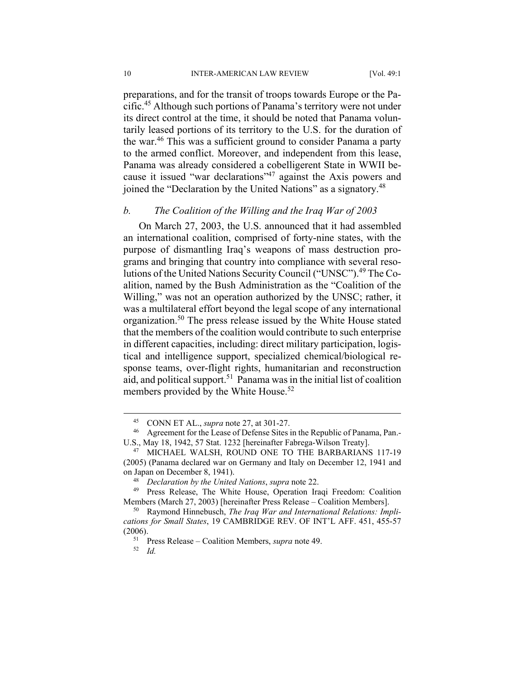preparations, and for the transit of troops towards Europe or the Pacific.45 Although such portions of Panama's territory were not under its direct control at the time, it should be noted that Panama voluntarily leased portions of its territory to the U.S. for the duration of the war.46 This was a sufficient ground to consider Panama a party to the armed conflict. Moreover, and independent from this lease, Panama was already considered a cobelligerent State in WWII because it issued "war declarations"47 against the Axis powers and joined the "Declaration by the United Nations" as a signatory.48

## *b. The Coalition of the Willing and the Iraq War of 2003*

On March 27, 2003, the U.S. announced that it had assembled an international coalition, comprised of forty-nine states, with the purpose of dismantling Iraq's weapons of mass destruction programs and bringing that country into compliance with several resolutions of the United Nations Security Council ("UNSC").49 The Coalition, named by the Bush Administration as the "Coalition of the Willing," was not an operation authorized by the UNSC; rather, it was a multilateral effort beyond the legal scope of any international organization.50 The press release issued by the White House stated that the members of the coalition would contribute to such enterprise in different capacities, including: direct military participation, logistical and intelligence support, specialized chemical/biological response teams, over-flight rights, humanitarian and reconstruction aid, and political support.51 Panama was in the initial list of coalition members provided by the White House.<sup>52</sup>

<sup>&</sup>lt;sup>45</sup> CONN ET AL., *supra* note 27, at 301-27.<br><sup>46</sup> Agreement for the Lease of Defense Sites in the Republic of Panama, Pan.-U.S., May 18, 1942, 57 Stat. 1232 [hereinafter Fabrega-Wilson Treaty]. 47 MICHAEL WALSH, ROUND ONE TO THE BARBARIANS 117-19

<sup>(2005) (</sup>Panama declared war on Germany and Italy on December 12, 1941 and on Japan on December 8, 1941).<br><sup>48</sup> *Declaration by the United Nations*, *supra* note 22.<br><sup>49</sup> Press Release, The White House, Operation Iraqi Freedom: Coalition

Members (March 27, 2003) [hereinafter Press Release – Coalition Members]. 50 Raymond Hinnebusch, *The Iraq War and International Relations: Impli-*

*cations for Small States*, 19 CAMBRIDGE REV. OF INT'L AFF. 451, 455-57 (2006). 51 Press Release – Coalition Members, *supra* note 49. 52 *Id.*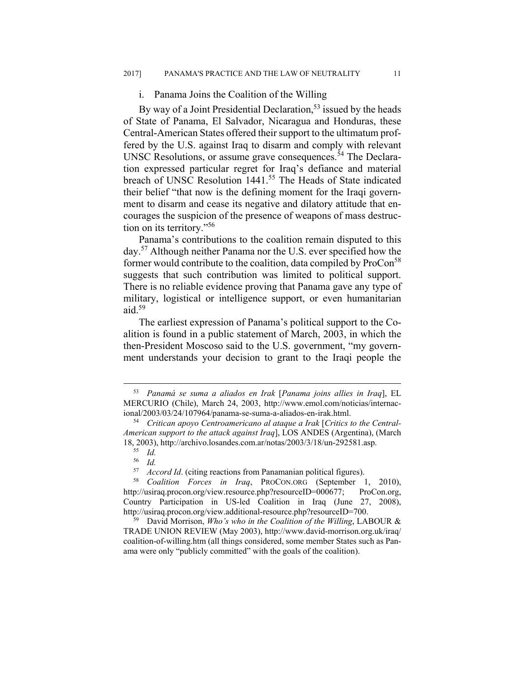#### i. Panama Joins the Coalition of the Willing

By way of a Joint Presidential Declaration,  $53$  issued by the heads of State of Panama, El Salvador, Nicaragua and Honduras, these Central-American States offered their support to the ultimatum proffered by the U.S. against Iraq to disarm and comply with relevant UNSC Resolutions, or assume grave consequences.<sup>54</sup> The Declaration expressed particular regret for Iraq's defiance and material breach of UNSC Resolution 1441.<sup>55</sup> The Heads of State indicated their belief "that now is the defining moment for the Iraqi government to disarm and cease its negative and dilatory attitude that encourages the suspicion of the presence of weapons of mass destruction on its territory."56

Panama's contributions to the coalition remain disputed to this day.57 Although neither Panama nor the U.S. ever specified how the former would contribute to the coalition, data compiled by ProCon<sup>58</sup> suggests that such contribution was limited to political support. There is no reliable evidence proving that Panama gave any type of military, logistical or intelligence support, or even humanitarian aid. $59$ 

The earliest expression of Panama's political support to the Coalition is found in a public statement of March, 2003, in which the then-President Moscoso said to the U.S. government, "my government understands your decision to grant to the Iraqi people the

 <sup>53</sup> *Panamá se suma a aliados en Irak* [*Panama joins allies in Iraq*], EL MERCURIO (Chile), March 24, 2003, http://www.emol.com/noticias/internac-

ional/2003/03/24/107964/panama-se-suma-a-aliados-en-irak.html. 54 *Critican apoyo Centroamericano al ataque a Irak* [*Critics to the Central-American support to the attack against Iraq*], LOS ANDES (Argentina), (March 18, 2003), http://archivo.losandes.com.ar/notas/2003/3/18/un-292581.asp.<br><sup>55</sup> *Id.*<br><sup>56</sup> *Id* 

 $\frac{56}{57}$  *Id.* 

<sup>57</sup> *Accord Id*. (citing reactions from Panamanian political figures). 58 *Coalition Forces in Iraq*, PROCON.ORG (September 1, 2010), http://usiraq.procon.org/view.resource.php?resourceID=000677; ProCon.org, Country Participation in US-led Coalition in Iraq (June 27, 2008), http://usiraq.procon.org/view.additional-resource.php?resourceID=700. 59 David Morrison, *Who's who in the Coalition of the Willing*, LABOUR &

TRADE UNION REVIEW (May 2003), http://www.david-morrison.org.uk/iraq/ coalition-of-willing.htm (all things considered, some member States such as Panama were only "publicly committed" with the goals of the coalition).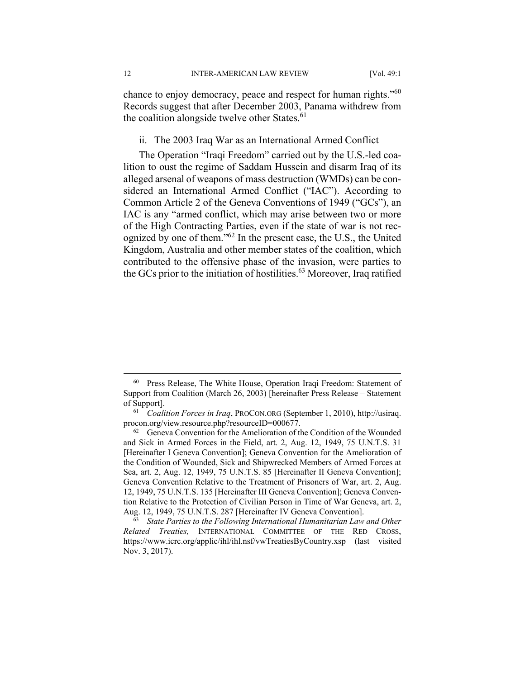chance to enjoy democracy, peace and respect for human rights."60 Records suggest that after December 2003, Panama withdrew from the coalition alongside twelve other States. $61$ 

ii. The 2003 Iraq War as an International Armed Conflict

The Operation "Iraqi Freedom" carried out by the U.S.-led coalition to oust the regime of Saddam Hussein and disarm Iraq of its alleged arsenal of weapons of mass destruction (WMDs) can be considered an International Armed Conflict ("IAC"). According to Common Article 2 of the Geneva Conventions of 1949 ("GCs"), an IAC is any "armed conflict, which may arise between two or more of the High Contracting Parties, even if the state of war is not recognized by one of them."62 In the present case, the U.S., the United Kingdom, Australia and other member states of the coalition, which contributed to the offensive phase of the invasion, were parties to the GCs prior to the initiation of hostilities.<sup>63</sup> Moreover, Iraq ratified

 <sup>60</sup> Press Release, The White House, Operation Iraqi Freedom: Statement of Support from Coalition (March 26, 2003) [hereinafter Press Release – Statement of Support]. 61 *Coalition Forces in Iraq*, PROCON.ORG (September 1, 2010), http://usiraq.

procon.org/view.resource.php?resourceID=000677.<br><sup>62</sup> Geneva Convention for the Amelioration of the Condition of the Wounded and Sick in Armed Forces in the Field, art. 2, Aug. 12, 1949, 75 U.N.T.S. 31 [Hereinafter I Geneva Convention]; Geneva Convention for the Amelioration of the Condition of Wounded, Sick and Shipwrecked Members of Armed Forces at Sea, art. 2, Aug. 12, 1949, 75 U.N.T.S. 85 [Hereinafter II Geneva Convention]; Geneva Convention Relative to the Treatment of Prisoners of War, art. 2, Aug. 12, 1949, 75 U.N.T.S. 135 [Hereinafter III Geneva Convention]; Geneva Convention Relative to the Protection of Civilian Person in Time of War Geneva, art. 2, Aug. 12, 1949, 75 U.N.T.S. 287 [Hereinafter IV Geneva Convention]. 63 *State Parties to the Following International Humanitarian Law and Other* 

*Related Treaties,* INTERNATIONAL COMMITTEE OF THE RED CROSS, https://www.icrc.org/applic/ihl/ihl.nsf/vwTreatiesByCountry.xsp (last visited Nov. 3, 2017).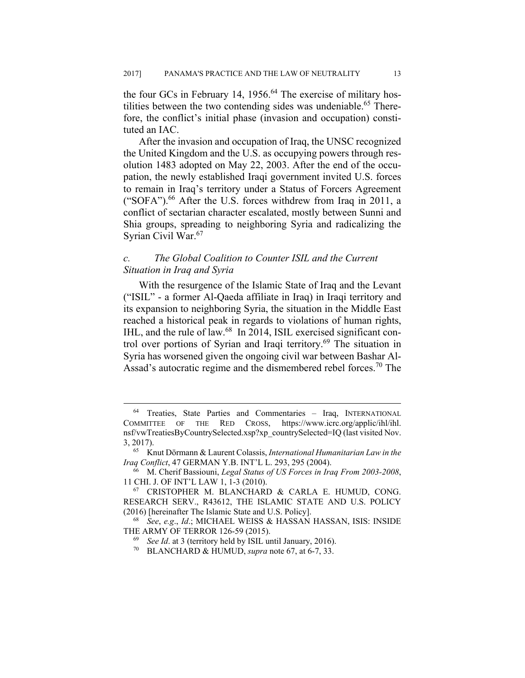the four GCs in February 14,  $1956<sup>64</sup>$  The exercise of military hostilities between the two contending sides was undeniable.<sup>65</sup> Therefore, the conflict's initial phase (invasion and occupation) constituted an IAC.

After the invasion and occupation of Iraq, the UNSC recognized the United Kingdom and the U.S. as occupying powers through resolution 1483 adopted on May 22, 2003. After the end of the occupation, the newly established Iraqi government invited U.S. forces to remain in Iraq's territory under a Status of Forcers Agreement ("SOFA").<sup>66</sup> After the U.S. forces withdrew from Iraq in 2011, a conflict of sectarian character escalated, mostly between Sunni and Shia groups, spreading to neighboring Syria and radicalizing the Syrian Civil War.<sup>67</sup>

## *c. The Global Coalition to Counter ISIL and the Current Situation in Iraq and Syria*

With the resurgence of the Islamic State of Iraq and the Levant ("ISIL" - a former Al-Qaeda affiliate in Iraq) in Iraqi territory and its expansion to neighboring Syria, the situation in the Middle East reached a historical peak in regards to violations of human rights, IHL, and the rule of law.<sup>68</sup> In 2014, ISIL exercised significant control over portions of Syrian and Iraqi territory.69 The situation in Syria has worsened given the ongoing civil war between Bashar Al-Assad's autocratic regime and the dismembered rebel forces.<sup>70</sup> The

 <sup>64</sup> Treaties, State Parties and Commentaries – Iraq, INTERNATIONAL COMMITTEE OF THE RED CROSS, https://www.icrc.org/applic/ihl/ihl. nsf/vwTreatiesByCountrySelected.xsp?xp\_countrySelected=IQ (last visited Nov. 3, 2017). 65 Knut Dörmann & Laurent Colassis, *International Humanitarian Law in the* 

*Iraq Conflict*, 47 GERMAN Y.B. INT'L L. 293, 295 (2004).<br><sup>66</sup> M. Cherif Bassiouni, *Legal Status of US Forces in Iraq From 2003-2008*,

<sup>11</sup> CHI. J. OF INT'L LAW 1, 1-3 (2010).<br><sup>67</sup> CRISTOPHER M. BLANCHARD & CARLA E. HUMUD, CONG.

RESEARCH SERV., R43612, THE ISLAMIC STATE AND U.S. POLICY (2016) [hereinafter The Islamic State and U.S. Policy]. 68 *See*, *e.g*., *Id*.; MICHAEL WEISS & HASSAN HASSAN, ISIS: INSIDE

THE ARMY OF TERROR 126-59 (2015).<br><sup>69</sup> *See Id.* at 3 (territory held by ISIL until January, 2016).<br><sup>70</sup> BLANCHARD & HUMUD, *supra* note 67, at 6-7, 33.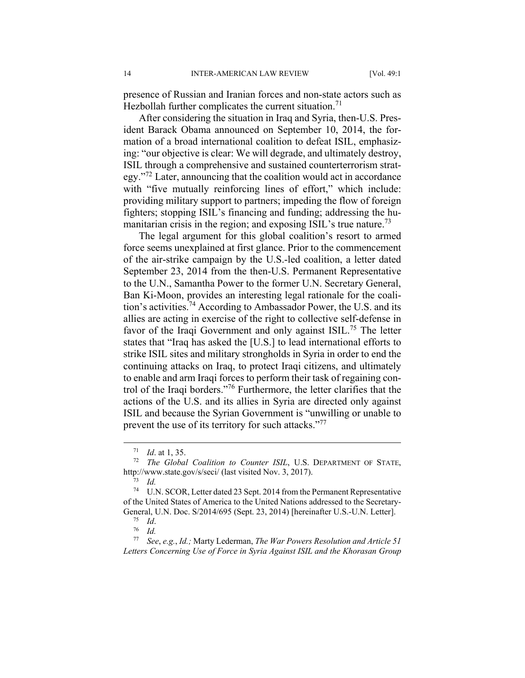presence of Russian and Iranian forces and non-state actors such as Hezbollah further complicates the current situation.<sup>71</sup>

After considering the situation in Iraq and Syria, then-U.S. President Barack Obama announced on September 10, 2014, the formation of a broad international coalition to defeat ISIL, emphasizing: "our objective is clear: We will degrade, and ultimately destroy, ISIL through a comprehensive and sustained counterterrorism strategy."72 Later, announcing that the coalition would act in accordance with "five mutually reinforcing lines of effort," which include: providing military support to partners; impeding the flow of foreign fighters; stopping ISIL's financing and funding; addressing the humanitarian crisis in the region; and exposing ISIL's true nature.<sup>73</sup>

The legal argument for this global coalition's resort to armed force seems unexplained at first glance. Prior to the commencement of the air-strike campaign by the U.S.-led coalition, a letter dated September 23, 2014 from the then-U.S. Permanent Representative to the U.N., Samantha Power to the former U.N. Secretary General, Ban Ki-Moon, provides an interesting legal rationale for the coalition's activities.74 According to Ambassador Power, the U.S. and its allies are acting in exercise of the right to collective self-defense in favor of the Iraqi Government and only against ISIL.<sup>75</sup> The letter states that "Iraq has asked the [U.S.] to lead international efforts to strike ISIL sites and military strongholds in Syria in order to end the continuing attacks on Iraq, to protect Iraqi citizens, and ultimately to enable and arm Iraqi forces to perform their task of regaining control of the Iraqi borders."76 Furthermore, the letter clarifies that the actions of the U.S. and its allies in Syria are directed only against ISIL and because the Syrian Government is "unwilling or unable to prevent the use of its territory for such attacks."<sup>77</sup>

<sup>&</sup>lt;sup>71</sup> *Id.* at 1, 35.<br><sup>72</sup> *The Global Coalition to Counter ISIL*, U.S. DEPARTMENT OF STATE, http://www.state.gov/s/seci/ (last visited Nov. 3, 2017). 73 *Id.*

<sup>74</sup> U.N. SCOR, Letter dated 23 Sept. 2014 from the Permanent Representative of the United States of America to the United Nations addressed to the Secretary-General, U.N. Doc. S/2014/695 (Sept. 23, 2014) [hereinafter U.S.-U.N. Letter]. 75 *Id*. 76 *Id.*

<sup>77</sup> *See*, *e.g.*, *Id.;* Marty Lederman, *The War Powers Resolution and Article 51 Letters Concerning Use of Force in Syria Against ISIL and the Khorasan Group*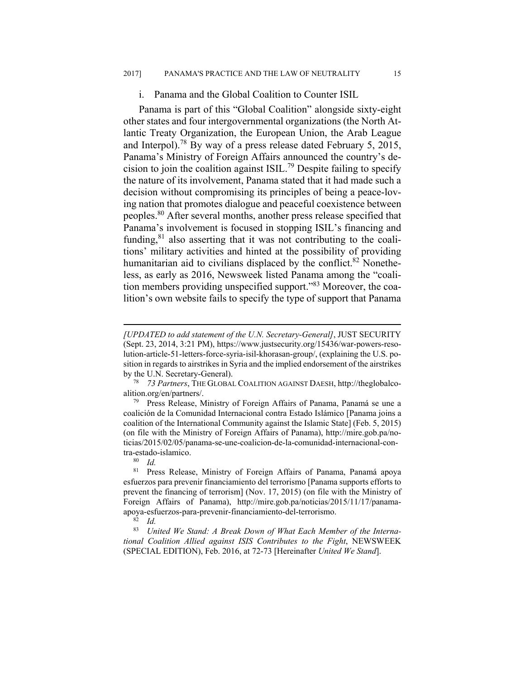#### i. Panama and the Global Coalition to Counter ISIL

Panama is part of this "Global Coalition" alongside sixty-eight other states and four intergovernmental organizations (the North Atlantic Treaty Organization, the European Union, the Arab League and Interpol).78 By way of a press release dated February 5, 2015, Panama's Ministry of Foreign Affairs announced the country's decision to join the coalition against ISIL.<sup>79</sup> Despite failing to specify the nature of its involvement, Panama stated that it had made such a decision without compromising its principles of being a peace-loving nation that promotes dialogue and peaceful coexistence between peoples.80 After several months, another press release specified that Panama's involvement is focused in stopping ISIL's financing and funding, $81$  also asserting that it was not contributing to the coalitions' military activities and hinted at the possibility of providing humanitarian aid to civilians displaced by the conflict.<sup>82</sup> Nonetheless, as early as 2016, Newsweek listed Panama among the "coalition members providing unspecified support."83 Moreover, the coalition's own website fails to specify the type of support that Panama

 $\overline{a}$ 

83 *United We Stand: A Break Down of What Each Member of the International Coalition Allied against ISIS Contributes to the Fight*, NEWSWEEK (SPECIAL EDITION), Feb. 2016, at 72-73 [Hereinafter *United We Stand*].

*<sup>[</sup>UPDATED to add statement of the U.N. Secretary-General]*, JUST SECURITY (Sept. 23, 2014, 3:21 PM), https://www.justsecurity.org/15436/war-powers-resolution-article-51-letters-force-syria-isil-khorasan-group/, (explaining the U.S. position in regards to airstrikes in Syria and the implied endorsement of the airstrikes by the U.N. Secretary-General). 78 *73 Partners*, THE GLOBAL COALITION AGAINST DAESH, http://theglobalco-

alition.org/en/partners/. 79 Press Release, Ministry of Foreign Affairs of Panama, Panamá se une a

coalición de la Comunidad Internacional contra Estado Islámico [Panama joins a coalition of the International Community against the Islamic State] (Feb. 5, 2015) (on file with the Ministry of Foreign Affairs of Panama), http://mire.gob.pa/noticias/2015/02/05/panama-se-une-coalicion-de-la-comunidad-internacional-contra-estado-islamico.<br><sup>80</sup> *Id.*<br><sup>81</sup> Press Releas

<sup>81</sup> Press Release, Ministry of Foreign Affairs of Panama, Panamá apoya esfuerzos para prevenir financiamiento del terrorismo [Panama supports efforts to prevent the financing of terrorism] (Nov. 17, 2015) (on file with the Ministry of Foreign Affairs of Panama), http://mire.gob.pa/noticias/2015/11/17/panamaapoya-esfuerzos-para-prevenir-financiamiento-del-terrorismo. 82 *Id.*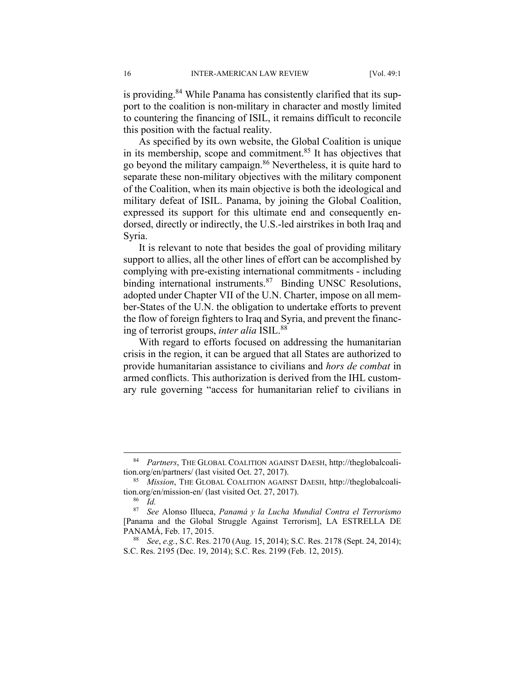is providing.<sup>84</sup> While Panama has consistently clarified that its support to the coalition is non-military in character and mostly limited to countering the financing of ISIL, it remains difficult to reconcile this position with the factual reality.

As specified by its own website, the Global Coalition is unique in its membership, scope and commitment.<sup>85</sup> It has objectives that go beyond the military campaign.86 Nevertheless, it is quite hard to separate these non-military objectives with the military component of the Coalition, when its main objective is both the ideological and military defeat of ISIL. Panama, by joining the Global Coalition, expressed its support for this ultimate end and consequently endorsed, directly or indirectly, the U.S.-led airstrikes in both Iraq and Syria.

It is relevant to note that besides the goal of providing military support to allies, all the other lines of effort can be accomplished by complying with pre-existing international commitments - including binding international instruments.<sup>87</sup> Binding UNSC Resolutions, adopted under Chapter VII of the U.N. Charter, impose on all member-States of the U.N. the obligation to undertake efforts to prevent the flow of foreign fighters to Iraq and Syria, and prevent the financing of terrorist groups, *inter alia* ISIL.<sup>88</sup>

With regard to efforts focused on addressing the humanitarian crisis in the region, it can be argued that all States are authorized to provide humanitarian assistance to civilians and *hors de combat* in armed conflicts. This authorization is derived from the IHL customary rule governing "access for humanitarian relief to civilians in

 <sup>84</sup> *Partners*, THE GLOBAL COALITION AGAINST DAESH, http://theglobalcoalition.org/en/partners/ (last visited Oct. 27, 2017). 85 *Mission*, THE GLOBAL COALITION AGAINST DAESH, http://theglobalcoali-

tion.org/en/mission-en/ (last visited Oct. 27, 2017). 86 *Id.*

<sup>87</sup> *See* Alonso Illueca, *Panamá y la Lucha Mundial Contra el Terrorismo* [Panama and the Global Struggle Against Terrorism], LA ESTRELLA DE PANAMÁ, Feb. 17, 2015.<br><sup>88</sup> *See*, *e.g.*, S.C. Res. 2170 (Aug. 15, 2014); S.C. Res. 2178 (Sept. 24, 2014);

S.C. Res. 2195 (Dec. 19, 2014); S.C. Res. 2199 (Feb. 12, 2015).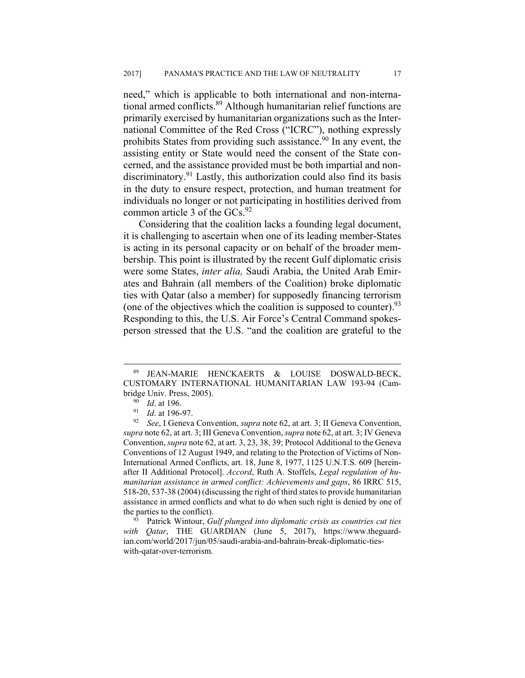need," which is applicable to both international and non-international armed conflicts.<sup>89</sup> Although humanitarian relief functions are primarily exercised by humanitarian organizations such as the International Committee of the Red Cross ("ICRC"), nothing expressly prohibits States from providing such assistance.<sup>90</sup> In any event, the assisting entity or State would need the consent of the State concerned, and the assistance provided must be both impartial and nondiscriminatory.<sup>91</sup> Lastly, this authorization could also find its basis in the duty to ensure respect, protection, and human treatment for individuals no longer or not participating in hostilities derived from common article 3 of the GCs.<sup>92</sup>

Considering that the coalition lacks a founding legal document, it is challenging to ascertain when one of its leading member-States is acting in its personal capacity or on behalf of the broader membership. This point is illustrated by the recent Gulf diplomatic crisis were some States, *inter alia,* Saudi Arabia, the United Arab Emirates and Bahrain (all members of the Coalition) broke diplomatic ties with Qatar (also a member) for supposedly financing terrorism (one of the objectives which the coalition is supposed to counter).  $93$ Responding to this, the U.S. Air Force's Central Command spokesperson stressed that the U.S. "and the coalition are grateful to the

 <sup>89</sup> JEAN-MARIE HENCKAERTS & LOUISE DOSWALD-BECK, CUSTOMARY INTERNATIONAL HUMANITARIAN LAW 193-94 (Cambridge Univ. Press, 2005).<br><sup>90</sup> *Id.* at 196.<br><sup>91</sup> *Id.* at 196-97.<br><sup>92</sup> *See*, I Geneva Convention, *supra* note 62, at art. 3; II Geneva Convention,

*supra* note 62, at art. 3; III Geneva Convention, *supra* note 62, at art. 3; IV Geneva Convention, *supra* note 62, at art. 3, 23, 38, 39; Protocol Additional to the Geneva Conventions of 12 August 1949, and relating to the Protection of Victims of Non-International Armed Conflicts, art. 18, June 8, 1977, 1125 U.N.T.S. 609 [hereinafter II Additional Protocol]. *Accord*, Ruth A. Stoffels, *Legal regulation of humanitarian assistance in armed conflict: Achievements and gaps*, 86 IRRC 515, 518-20, 537-38 (2004) (discussing the right of third states to provide humanitarian assistance in armed conflicts and what to do when such right is denied by one of the parties to the conflict).<br><sup>93</sup> Patrick Wintour, *Gulf plunged into diplomatic crisis as countries cut ties* 

*with Qatar*, THE GUARDIAN (June 5, 2017), https://www.theguardian.com/world/2017/jun/05/saudi-arabia-and-bahrain-break-diplomatic-tieswith-qatar-over-terrorism.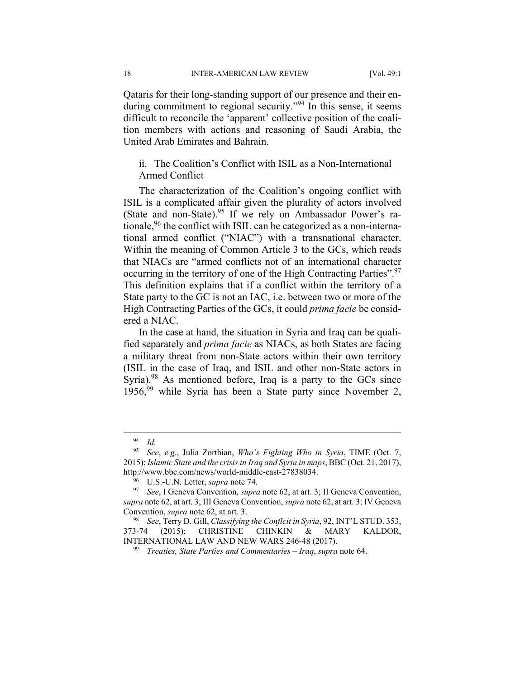18 INTER-AMERICAN LAW REVIEW [Vol. 49:1]

Qataris for their long-standing support of our presence and their enduring commitment to regional security."<sup>94</sup> In this sense, it seems difficult to reconcile the 'apparent' collective position of the coalition members with actions and reasoning of Saudi Arabia, the United Arab Emirates and Bahrain.

ii. The Coalition's Conflict with ISIL as a Non-International Armed Conflict

The characterization of the Coalition's ongoing conflict with ISIL is a complicated affair given the plurality of actors involved (State and non-State). <sup>95</sup> If we rely on Ambassador Power's rationale,<sup>96</sup> the conflict with ISIL can be categorized as a non-international armed conflict ("NIAC") with a transnational character. Within the meaning of Common Article 3 to the GCs, which reads that NIACs are "armed conflicts not of an international character occurring in the territory of one of the High Contracting Parties".<sup>97</sup> This definition explains that if a conflict within the territory of a State party to the GC is not an IAC, i.e. between two or more of the High Contracting Parties of the GCs, it could *prima facie* be considered a NIAC.

In the case at hand, the situation in Syria and Iraq can be qualified separately and *prima facie* as NIACs, as both States are facing a military threat from non-State actors within their own territory (ISIL in the case of Iraq, and ISIL and other non-State actors in Syria).<sup>98</sup> As mentioned before, Iraq is a party to the GCs since  $1956<sup>99</sup>$  while Syria has been a State party since November 2,

 <sup>94</sup> *Id.*

<sup>95</sup> *See*, *e.g.*, Julia Zorthian, *Who's Fighting Who in Syria*, TIME (Oct. 7, 2015); *Islamic State and the crisis in Iraq and Syria in maps*, BBC (Oct. 21, 2017), http://www.bbc.com/news/world-middle-east-27838034.<br><sup>96</sup> U.S.-U.N. Letter, *supra* note 74.<br><sup>97</sup> See, I Geneva Convention, *supra* note 62, at art. 3; II Geneva Convention,

*supra* note 62, at art. 3; III Geneva Convention, *supra* note 62, at art. 3; IV Geneva Convention, *supra* note 62, at art. 3.<br><sup>98</sup> See, Terry D. Gill, *Classifying the Conflcit in Syria*, 92, INT'L STUD. 353,

<sup>373-74 (2015);</sup> CHRISTINE CHINKIN & MARY KALDOR, INTERNATIONAL LAW AND NEW WARS 246-48 (2017). 99 *Treaties, State Parties and Commentaries – Iraq*, *supra* note 64.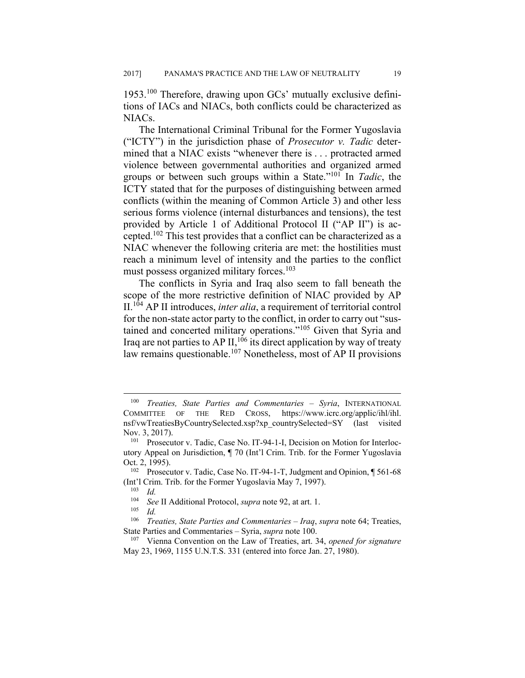1953.100 Therefore, drawing upon GCs' mutually exclusive definitions of IACs and NIACs, both conflicts could be characterized as NIACs.

The International Criminal Tribunal for the Former Yugoslavia ("ICTY") in the jurisdiction phase of *Prosecutor v. Tadic* determined that a NIAC exists "whenever there is . . . protracted armed violence between governmental authorities and organized armed groups or between such groups within a State."101 In *Tadic*, the ICTY stated that for the purposes of distinguishing between armed conflicts (within the meaning of Common Article 3) and other less serious forms violence (internal disturbances and tensions), the test provided by Article 1 of Additional Protocol II ("AP II") is accepted.102 This test provides that a conflict can be characterized as a NIAC whenever the following criteria are met: the hostilities must reach a minimum level of intensity and the parties to the conflict must possess organized military forces.<sup>103</sup>

The conflicts in Syria and Iraq also seem to fall beneath the scope of the more restrictive definition of NIAC provided by AP II.104 AP II introduces, *inter alia*, a requirement of territorial control for the non-state actor party to the conflict, in order to carry out "sustained and concerted military operations."<sup>105</sup> Given that Syria and Iraq are not parties to AP II,  $106$  its direct application by way of treaty law remains questionable.<sup>107</sup> Nonetheless, most of AP II provisions

<sup>100</sup> *Treaties, State Parties and Commentaries – Syria*, INTERNATIONAL COMMITTEE OF THE RED CROSS, https://www.icrc.org/applic/ihl/ihl. nsf/vwTreatiesByCountrySelected.xsp?xp\_countrySelected=SY (last visited Nov. 3, 2017).<br><sup>101</sup> Prosecutor v. Tadic, Case No. IT-94-1-I, Decision on Motion for Interloc-

utory Appeal on Jurisdiction, ¶ 70 (Int'l Crim. Trib. for the Former Yugoslavia

Oct. 2, 1995).<br><sup>102</sup> Prosecutor v. Tadic, Case No. IT-94-1-T, Judgment and Opinion, ¶ 561-68 (Int<sup>2</sup>l Crim. Trib. for the Former Yugoslavia May 7, 1997).<br><sup>103</sup> *Id.*<br><sup>104</sup> See II Additional Protocol, sunga note 92, at art. 1

<sup>104</sup> *See* II Additional Protocol, *supra* note 92, at art. 1. 105 *Id.*

<sup>106</sup> *Treaties, State Parties and Commentaries – Iraq*, *supra* note 64; Treaties, State Parties and Commentaries – Syria, *supra* note 100.<br><sup>107</sup> Vienna Convention on the Law of Treaties, art. 34, *opened for signature* 

May 23, 1969, 1155 U.N.T.S. 331 (entered into force Jan. 27, 1980).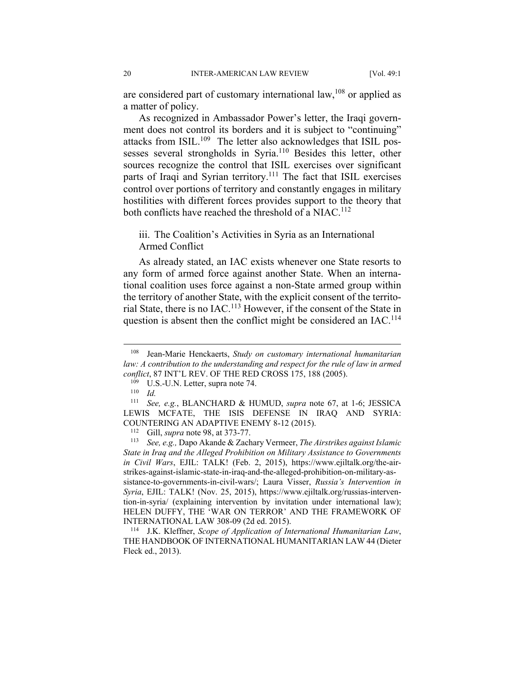are considered part of customary international law,<sup>108</sup> or applied as a matter of policy.

As recognized in Ambassador Power's letter, the Iraqi government does not control its borders and it is subject to "continuing" attacks from ISIL.<sup>109</sup> The letter also acknowledges that ISIL possesses several strongholds in Syria.110 Besides this letter, other sources recognize the control that ISIL exercises over significant parts of Iraqi and Syrian territory.<sup>111</sup> The fact that ISIL exercises control over portions of territory and constantly engages in military hostilities with different forces provides support to the theory that both conflicts have reached the threshold of a NIAC.<sup>112</sup>

## iii. The Coalition's Activities in Syria as an International Armed Conflict

As already stated, an IAC exists whenever one State resorts to any form of armed force against another State. When an international coalition uses force against a non-State armed group within the territory of another State, with the explicit consent of the territorial State, there is no IAC.113 However, if the consent of the State in question is absent then the conflict might be considered an IAC.<sup>114</sup>

<sup>108</sup> Jean-Marie Henckaerts, *Study on customary international humanitarian law: A contribution to the understanding and respect for the rule of law in armed conflict*, 87 INT'L REV. OF THE RED CROSS 175, 188 (2005).<br><sup>109</sup> U.S.-U.N. Letter, supra note 74.<br><sup>110</sup> *Id* 

<sup>111</sup> *See, e.g.*, BLANCHARD & HUMUD, *supra* note 67, at 1-6; JESSICA LEWIS MCFATE, THE ISIS DEFENSE IN IRAQ AND SYRIA:

COUNTERING AN ADAPTIVE ENEMY 8-12 (2015). 112 Gill, *supra* note 98, at 373-77. 113 *See, e.g.,* Dapo Akande & Zachary Vermeer, *The Airstrikes against Islamic State in Iraq and the Alleged Prohibition on Military Assistance to Governments in Civil Wars*, EJIL: TALK! (Feb. 2, 2015), https://www.ejiltalk.org/the-airstrikes-against-islamic-state-in-iraq-and-the-alleged-prohibition-on-military-assistance-to-governments-in-civil-wars/; Laura Visser, *Russia's Intervention in Syria*, EJIL: TALK! (Nov. 25, 2015), https://www.ejiltalk.org/russias-intervention-in-syria/ (explaining intervention by invitation under international law); HELEN DUFFY, THE 'WAR ON TERROR' AND THE FRAMEWORK OF

INTERNATIONAL LAW 308-09 (2d ed. 2015). 114 J.K. Kleffner, *Scope of Application of International Humanitarian Law*, THE HANDBOOK OF INTERNATIONAL HUMANITARIAN LAW 44 (Dieter Fleck ed., 2013).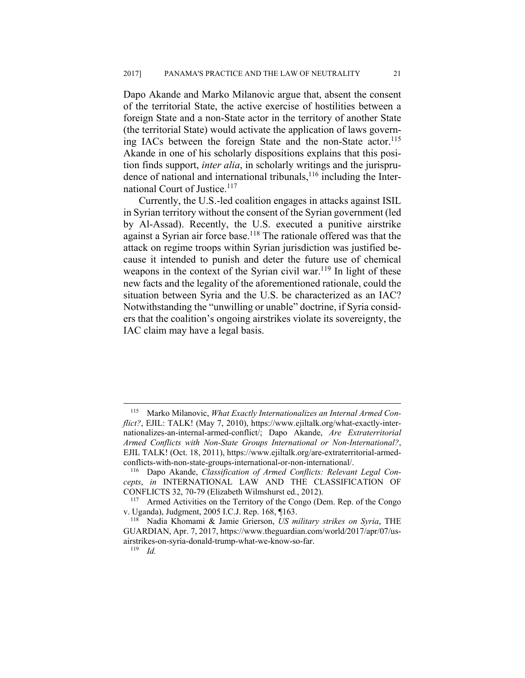Dapo Akande and Marko Milanovic argue that, absent the consent of the territorial State, the active exercise of hostilities between a foreign State and a non-State actor in the territory of another State (the territorial State) would activate the application of laws governing IACs between the foreign State and the non-State actor.<sup>115</sup> Akande in one of his scholarly dispositions explains that this position finds support, *inter alia*, in scholarly writings and the jurisprudence of national and international tribunals,  $116$  including the International Court of Justice.<sup>117</sup>

Currently, the U.S.-led coalition engages in attacks against ISIL in Syrian territory without the consent of the Syrian government (led by Al-Assad). Recently, the U.S. executed a punitive airstrike against a Syrian air force base.<sup>118</sup> The rationale offered was that the attack on regime troops within Syrian jurisdiction was justified because it intended to punish and deter the future use of chemical weapons in the context of the Syrian civil war.<sup>119</sup> In light of these new facts and the legality of the aforementioned rationale, could the situation between Syria and the U.S. be characterized as an IAC? Notwithstanding the "unwilling or unable" doctrine, if Syria considers that the coalition's ongoing airstrikes violate its sovereignty, the IAC claim may have a legal basis.

<sup>115</sup> Marko Milanovic, *What Exactly Internationalizes an Internal Armed Conflict?*, EJIL: TALK! (May 7, 2010), https://www.ejiltalk.org/what-exactly-internationalizes-an-internal-armed-conflict/; Dapo Akande, *Are Extraterritorial Armed Conflicts with Non-State Groups International or Non-International?*, EJIL TALK! (Oct. 18, 2011), https://www.ejiltalk.org/are-extraterritorial-armedconflicts-with-non-state-groups-international-or-non-international/. 116 Dapo Akande, *Classification of Armed Conflicts: Relevant Legal Con-*

*cepts*, *in* INTERNATIONAL LAW AND THE CLASSIFICATION OF CONFLICTS 32, 70-79 (Elizabeth Wilmshurst ed., 2012). 117 Armed Activities on the Territory of the Congo (Dem. Rep. of the Congo

v. Uganda), Judgment, 2005 I.C.J. Rep. 168, ¶163. 118 Nadia Khomami & Jamie Grierson, *US military strikes on Syria*, THE

GUARDIAN, Apr. 7, 2017, https://www.theguardian.com/world/2017/apr/07/usairstrikes-on-syria-donald-trump-what-we-know-so-far. 119 *Id.*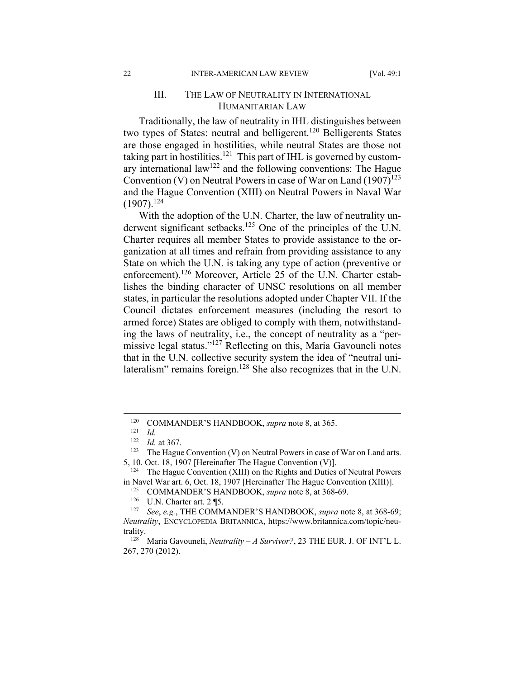#### 22 INTER-AMERICAN LAW REVIEW [Vol. 49:1]

## III. THE LAW OF NEUTRALITY IN INTERNATIONAL HUMANITARIAN LAW

Traditionally, the law of neutrality in IHL distinguishes between two types of States: neutral and belligerent.<sup>120</sup> Belligerents States are those engaged in hostilities, while neutral States are those not taking part in hostilities.<sup>121</sup> This part of IHL is governed by customary international law<sup>122</sup> and the following conventions: The Hague Convention (V) on Neutral Powers in case of War on Land  $(1907)^{123}$ and the Hague Convention (XIII) on Neutral Powers in Naval War  $(1907).^{124}$ 

With the adoption of the U.N. Charter, the law of neutrality underwent significant setbacks.<sup>125</sup> One of the principles of the U.N. Charter requires all member States to provide assistance to the organization at all times and refrain from providing assistance to any State on which the U.N. is taking any type of action (preventive or enforcement).<sup>126</sup> Moreover, Article 25 of the U.N. Charter establishes the binding character of UNSC resolutions on all member states, in particular the resolutions adopted under Chapter VII. If the Council dictates enforcement measures (including the resort to armed force) States are obliged to comply with them, notwithstanding the laws of neutrality, i.e., the concept of neutrality as a "permissive legal status."127 Reflecting on this, Maria Gavouneli notes that in the U.N. collective security system the idea of "neutral unilateralism" remains foreign.<sup>128</sup> She also recognizes that in the U.N.

<sup>120</sup> COMMANDER'S HANDBOOK, *supra* note 8, at 365. 121 *Id.*

<sup>&</sup>lt;sup>122</sup> *Id.* at 367. **123** The Hague Convention (V) on Neutral Powers in case of War on Land arts.

<sup>5, 10.</sup> Oct. 18, 1907 [Hereinafter The Hague Convention (V)].<br><sup>124</sup> The Hague Convention (XIII) on the Rights and Duties of Neutral Powers

in Navel War art. 6, Oct. 18, 1907 [Hereinafter The Hague Convention (XIII)].<br><sup>125</sup> COMMANDER'S HANDBOOK, *supra* note 8, at 368-69.<br><sup>126</sup> U.N. Charter art. 2 ¶5.<br><sup>127</sup> See, e.g., THE COMMANDER'S HANDBOOK, *supra* note 8,

*Neutrality*, ENCYCLOPEDIA BRITANNICA, https://www.britannica.com/topic/neutrality.<br><sup>128</sup> Maria Gavouneli, *Neutrality – A Survivor?*, 23 THE EUR. J. OF INT'L L.

<sup>267, 270 (2012).</sup>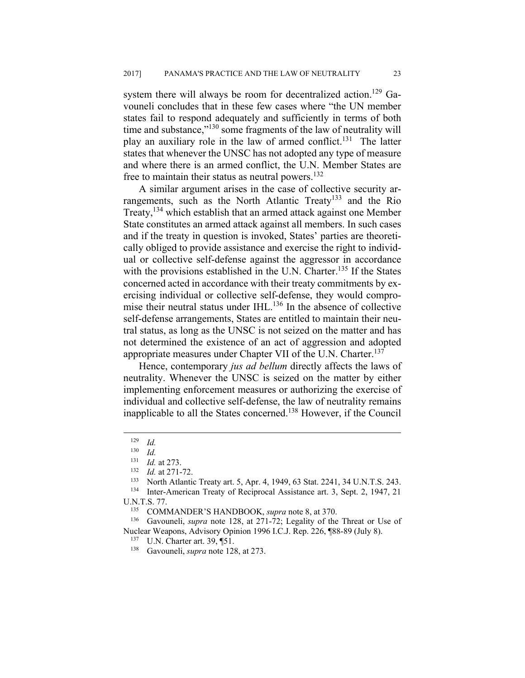system there will always be room for decentralized action.<sup>129</sup> Gavouneli concludes that in these few cases where "the UN member states fail to respond adequately and sufficiently in terms of both time and substance,"<sup>130</sup> some fragments of the law of neutrality will play an auxiliary role in the law of armed conflict.<sup>131</sup> The latter states that whenever the UNSC has not adopted any type of measure and where there is an armed conflict, the U.N. Member States are free to maintain their status as neutral powers. $132$ 

A similar argument arises in the case of collective security arrangements, such as the North Atlantic Treaty<sup>133</sup> and the Rio Treaty,134 which establish that an armed attack against one Member State constitutes an armed attack against all members. In such cases and if the treaty in question is invoked, States' parties are theoretically obliged to provide assistance and exercise the right to individual or collective self-defense against the aggressor in accordance with the provisions established in the U.N. Charter.<sup>135</sup> If the States concerned acted in accordance with their treaty commitments by exercising individual or collective self-defense, they would compromise their neutral status under IHL.<sup>136</sup> In the absence of collective self-defense arrangements, States are entitled to maintain their neutral status, as long as the UNSC is not seized on the matter and has not determined the existence of an act of aggression and adopted appropriate measures under Chapter VII of the U.N. Charter.<sup>137</sup>

Hence, contemporary *jus ad bellum* directly affects the laws of neutrality. Whenever the UNSC is seized on the matter by either implementing enforcement measures or authorizing the exercise of individual and collective self-defense, the law of neutrality remains inapplicable to all the States concerned.138 However, if the Council

 $\frac{129}{130}$  *Id.* 

 $\frac{130}{131}$  *Id.* 

<sup>131</sup> *Id.* at 273.<br>
<sup>132</sup> *Id.* at 271-72.<br>
<sup>133</sup> North Atlantic Treaty art. 5, Apr. 4, 1949, 63 Stat. 2241, 34 U.N.T.S. 243.<br>
<sup>134</sup> Inter-American Treaty of Reciprocal Assistance art. 3, Sept. 2, 1947, 21

U.N.T.S. 77. 135 COMMANDER'S HANDBOOK, *supra* note 8, at 370. 136 Gavouneli, *supra* note 128, at 271-72; Legality of the Threat or Use of

Nuclear Weapons, Advisory Opinion 1996 I.C.J. Rep. 226, ¶88-89 (July 8). 137 U.N. Charter art. 39, ¶51. 138 Gavouneli, *supra* note 128, at 273.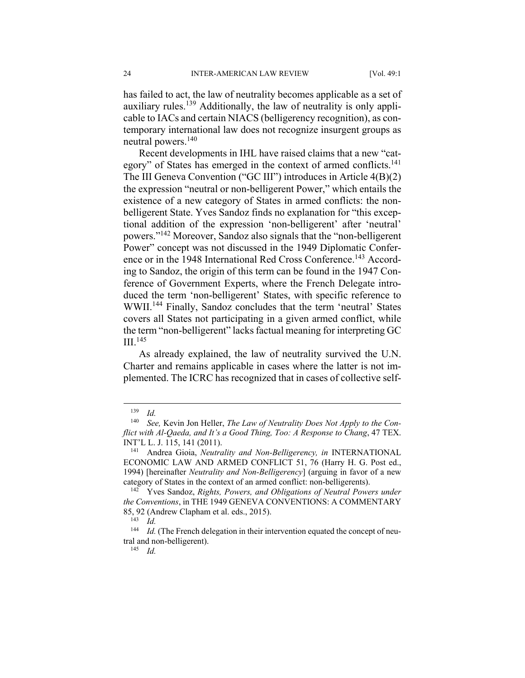has failed to act, the law of neutrality becomes applicable as a set of auxiliary rules.139 Additionally, the law of neutrality is only applicable to IACs and certain NIACS (belligerency recognition), as contemporary international law does not recognize insurgent groups as neutral powers.<sup>140</sup>

Recent developments in IHL have raised claims that a new "category" of States has emerged in the context of armed conflicts.<sup>141</sup> The III Geneva Convention ("GC III") introduces in Article 4(B)(2) the expression "neutral or non-belligerent Power," which entails the existence of a new category of States in armed conflicts: the nonbelligerent State. Yves Sandoz finds no explanation for "this exceptional addition of the expression 'non-belligerent' after 'neutral' powers."142 Moreover, Sandoz also signals that the "non-belligerent Power" concept was not discussed in the 1949 Diplomatic Conference or in the 1948 International Red Cross Conference.<sup>143</sup> According to Sandoz, the origin of this term can be found in the 1947 Conference of Government Experts, where the French Delegate introduced the term 'non-belligerent' States, with specific reference to WWII.144 Finally, Sandoz concludes that the term 'neutral' States covers all States not participating in a given armed conflict, while the term "non-belligerent" lacks factual meaning for interpreting GC III<sup>145</sup>

As already explained, the law of neutrality survived the U.N. Charter and remains applicable in cases where the latter is not implemented. The ICRC has recognized that in cases of collective self-

<sup>139</sup> *Id.*

<sup>140</sup> *See,* Kevin Jon Heller, *The Law of Neutrality Does Not Apply to the Conflict with Al-Qaeda, and It's a Good Thing, Too: A Response to Chang*, 47 TEX. INT'L L. J. 115, 141 (2011).<br><sup>141</sup> Andrea Gioia, *Neutrality and Non-Belligerency, in* INTERNATIONAL

ECONOMIC LAW AND ARMED CONFLICT 51, 76 (Harry H. G. Post ed., 1994) [hereinafter *Neutrality and Non-Belligerency*] (arguing in favor of a new

<sup>&</sup>lt;sup>142</sup> Yves Sandoz, *Rights, Powers, and Obligations of Neutral Powers under the Conventions*, in THE 1949 GENEVA CONVENTIONS: A COMMENTARY 85, 92 (Andrew Clapham et al. eds., 2015).<br><sup>143</sup> *Id.*<br><sup>144</sup> *Id.* (The Franch delegation in their in

Id. (The French delegation in their intervention equated the concept of neutral and non-belligerent). 145 *Id.*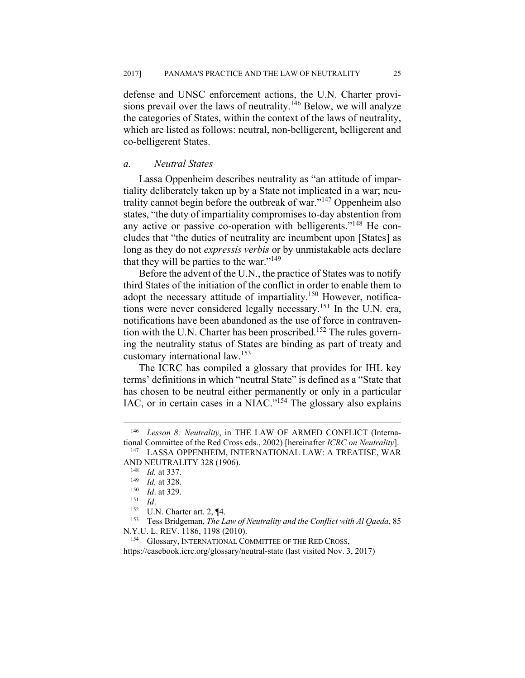defense and UNSC enforcement actions, the U.N. Charter provisions prevail over the laws of neutrality.<sup>146</sup> Below, we will analyze the categories of States, within the context of the laws of neutrality, which are listed as follows: neutral, non-belligerent, belligerent and co-belligerent States.

## *a. Neutral States*

Lassa Oppenheim describes neutrality as "an attitude of impartiality deliberately taken up by a State not implicated in a war; neutrality cannot begin before the outbreak of war."147 Oppenheim also states, "the duty of impartiality compromises to-day abstention from any active or passive co-operation with belligerents."148 He concludes that "the duties of neutrality are incumbent upon [States] as long as they do not *expressis verbis* or by unmistakable acts declare that they will be parties to the war." $149$ 

Before the advent of the U.N., the practice of States was to notify third States of the initiation of the conflict in order to enable them to adopt the necessary attitude of impartiality.150 However, notifications were never considered legally necessary.151 In the U.N. era, notifications have been abandoned as the use of force in contravention with the U.N. Charter has been proscribed.<sup>152</sup> The rules governing the neutrality status of States are binding as part of treaty and customary international law.<sup>153</sup>

The ICRC has compiled a glossary that provides for IHL key terms' definitions in which "neutral State" is defined as a "State that has chosen to be neutral either permanently or only in a particular IAC, or in certain cases in a NIAC."154 The glossary also explains

 $\overline{a}$ 

N.Y.U. L. REV. 1186, 1198 (2010).<br><sup>154</sup> Glossary, INTERNATIONAL COMMITTEE OF THE RED CROSS,

https://casebook.icrc.org/glossary/neutral-state (last visited Nov. 3, 2017)

<sup>146</sup> *Lesson 8: Neutrality*, in THE LAW OF ARMED CONFLICT (International Committee of the Red Cross eds., 2002) [hereinafter *ICRC on Neutrality*]. 147 LASSA OPPENHEIM, INTERNATIONAL LAW: A TREATISE, WAR

AND NEUTRALITY 328 (1906).<br><sup>148</sup> *Id.* at 337.<br><sup>149</sup> *Id.* at 328.<br><sup>151</sup> *Id.*<br><sup>152</sup> U.N. Charter art. 2, ¶4.<br><sup>152</sup> U.N. Charter art. 2, ¶4.<br><sup>153</sup> Tess Bridgeman, *The Law of Neutrality and the Conflict with Al Qaeda*, 85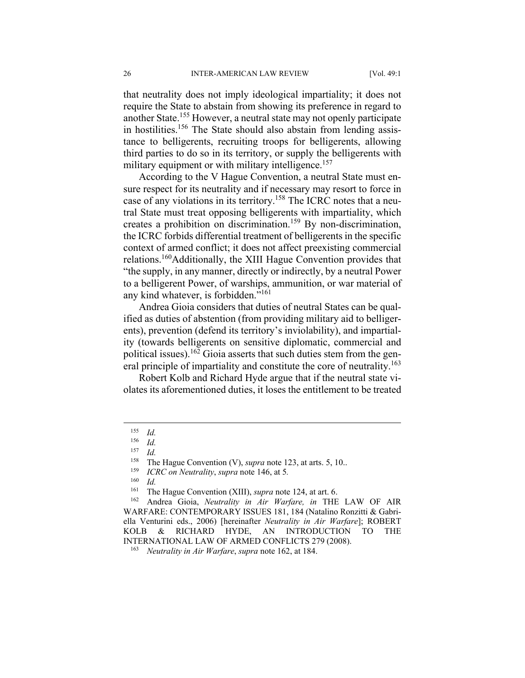that neutrality does not imply ideological impartiality; it does not require the State to abstain from showing its preference in regard to another State.155 However, a neutral state may not openly participate in hostilities.<sup>156</sup> The State should also abstain from lending assistance to belligerents, recruiting troops for belligerents, allowing third parties to do so in its territory, or supply the belligerents with military equipment or with military intelligence.<sup>157</sup>

According to the V Hague Convention, a neutral State must ensure respect for its neutrality and if necessary may resort to force in case of any violations in its territory.<sup>158</sup> The ICRC notes that a neutral State must treat opposing belligerents with impartiality, which creates a prohibition on discrimination.<sup>159</sup> By non-discrimination, the ICRC forbids differential treatment of belligerents in the specific context of armed conflict; it does not affect preexisting commercial relations.160Additionally, the XIII Hague Convention provides that "the supply, in any manner, directly or indirectly, by a neutral Power to a belligerent Power, of warships, ammunition, or war material of any kind whatever, is forbidden."161

Andrea Gioia considers that duties of neutral States can be qualified as duties of abstention (from providing military aid to belligerents), prevention (defend its territory's inviolability), and impartiality (towards belligerents on sensitive diplomatic, commercial and political issues).<sup>162</sup> Gioia asserts that such duties stem from the general principle of impartiality and constitute the core of neutrality.<sup>163</sup>

Robert Kolb and Richard Hyde argue that if the neutral state violates its aforementioned duties, it loses the entitlement to be treated

 $\frac{155}{156}$  *Id.* 

 $\frac{156}{157}$  *Id.* 

 $\frac{157}{158}$  *Id.* 

<sup>158</sup> The Hague Convention (V), *supra* note 123, at arts. 5, 10.. 159 *ICRC on Neutrality*, *supra* note 146, at 5*.*

 $160$  *Id.* 

<sup>161</sup> The Hague Convention (XIII), *supra* note 124, at art. 6. 162 Andrea Gioia, *Neutrality in Air Warfare, in* THE LAW OF AIR WARFARE: CONTEMPORARY ISSUES 181, 184 (Natalino Ronzitti & Gabriella Venturini eds., 2006) [hereinafter *Neutrality in Air Warfare*]; ROBERT KOLB & RICHARD HYDE, AN INTRODUCTION TO THE INTERNATIONAL LAW OF ARMED CONFLICTS 279 (2008). 163 *Neutrality in Air Warfare*, *supra* note 162, at 184.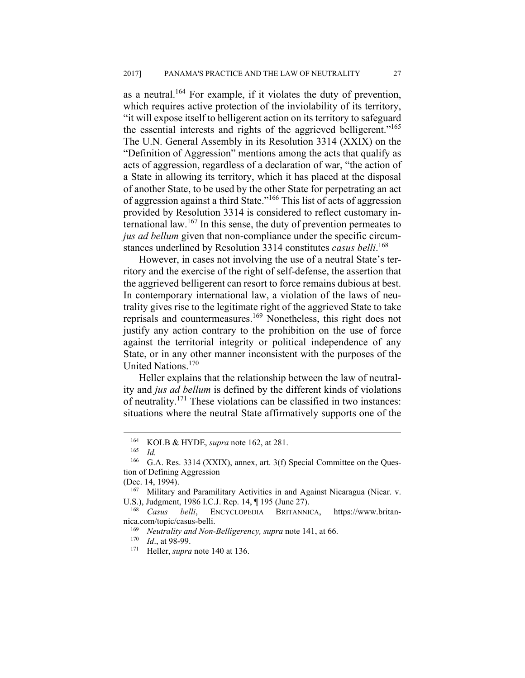as a neutral.<sup>164</sup> For example, if it violates the duty of prevention, which requires active protection of the inviolability of its territory, "it will expose itself to belligerent action on its territory to safeguard the essential interests and rights of the aggrieved belligerent."<sup>165</sup> The U.N. General Assembly in its Resolution 3314 (XXIX) on the "Definition of Aggression" mentions among the acts that qualify as acts of aggression, regardless of a declaration of war, "the action of a State in allowing its territory, which it has placed at the disposal of another State, to be used by the other State for perpetrating an act of aggression against a third State."166 This list of acts of aggression provided by Resolution 3314 is considered to reflect customary international law.167 In this sense, the duty of prevention permeates to *jus ad bellum* given that non-compliance under the specific circumstances underlined by Resolution 3314 constitutes *casus belli*. 168

However, in cases not involving the use of a neutral State's territory and the exercise of the right of self-defense, the assertion that the aggrieved belligerent can resort to force remains dubious at best. In contemporary international law, a violation of the laws of neutrality gives rise to the legitimate right of the aggrieved State to take reprisals and countermeasures.169 Nonetheless, this right does not justify any action contrary to the prohibition on the use of force against the territorial integrity or political independence of any State, or in any other manner inconsistent with the purposes of the United Nations.170

Heller explains that the relationship between the law of neutrality and *jus ad bellum* is defined by the different kinds of violations of neutrality.171 These violations can be classified in two instances: situations where the neutral State affirmatively supports one of the

<sup>164</sup> KOLB & HYDE, *supra* note 162, at 281.<br>
165 *Id.*<br>
166 G A Res 3314 (XXIX) annex art 3(f)

<sup>166</sup> G.A. Res. 3314 (XXIX), annex, art. 3(f) Special Committee on the Question of Defining Aggression

<sup>(</sup>Dec. 14, 1994).<br> $167$  Military and Paramilitary Activities in and Against Nicaragua (Nicar. v. U.S.), Judgment, 1986 I.C.J. Rep. 14, **[195 (June 27).** 168 Casus belli, ENCYCLOPEDIA BRITANNICA, https://www.britan-

nica.com/topic/casus-belli.<br><sup>169</sup> *Neutrality and Non-Belligerency, supra* note 141, at 66.<br><sup>170</sup> *Id.*, at 98-99.<br><sup>171</sup> Heller, *supra* note 140 at 136.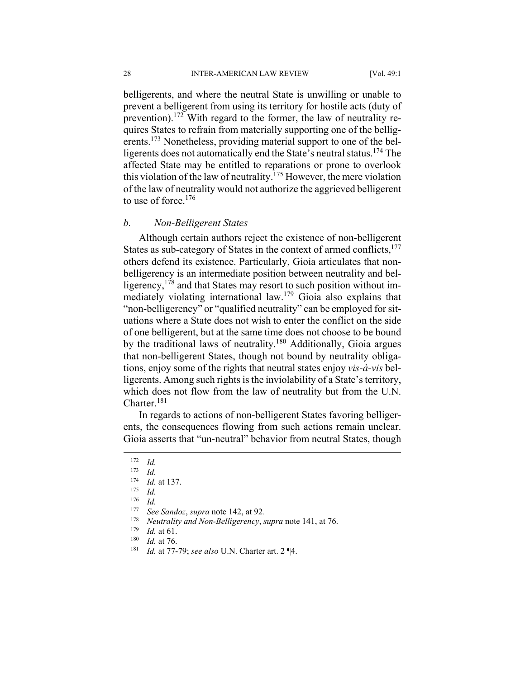belligerents, and where the neutral State is unwilling or unable to prevent a belligerent from using its territory for hostile acts (duty of prevention).172 With regard to the former, the law of neutrality requires States to refrain from materially supporting one of the belligerents.<sup>173</sup> Nonetheless, providing material support to one of the belligerents does not automatically end the State's neutral status.174 The affected State may be entitled to reparations or prone to overlook this violation of the law of neutrality.<sup>175</sup> However, the mere violation of the law of neutrality would not authorize the aggrieved belligerent to use of force.<sup>176</sup>

## *b. Non-Belligerent States*

Although certain authors reject the existence of non-belligerent States as sub-category of States in the context of armed conflicts,<sup>177</sup> others defend its existence. Particularly, Gioia articulates that nonbelligerency is an intermediate position between neutrality and belligerency,<sup>178</sup> and that States may resort to such position without immediately violating international law.179 Gioia also explains that "non-belligerency" or "qualified neutrality" can be employed for situations where a State does not wish to enter the conflict on the side of one belligerent, but at the same time does not choose to be bound by the traditional laws of neutrality.<sup>180</sup> Additionally, Gioia argues that non-belligerent States, though not bound by neutrality obligations, enjoy some of the rights that neutral states enjoy *vis-à-vis* belligerents. Among such rights is the inviolability of a State's territory, which does not flow from the law of neutrality but from the U.N. Charter.181

In regards to actions of non-belligerent States favoring belligerents, the consequences flowing from such actions remain unclear. Gioia asserts that "un-neutral" behavior from neutral States, though

 $\frac{172}{173}$  *Id.* 

 $\frac{173}{174}$  *Id.* 

<sup>174</sup> *Id.* at 137. 175 *Id.*

<sup>176</sup> *Id.*

<sup>177</sup> *See Sandoz*, *supra* note 142, at 92*.*

<sup>178</sup> *Neutrality and Non-Belligerency, <i>supra* note 141, at 76.<br>
<sup>179</sup> *Id.* at 61.<br>
<sup>180</sup> *Id.* at 76.<br>
<sup>181</sup> *Id.* at 77-79; *see also* U.N. Charter art. 2 ¶4.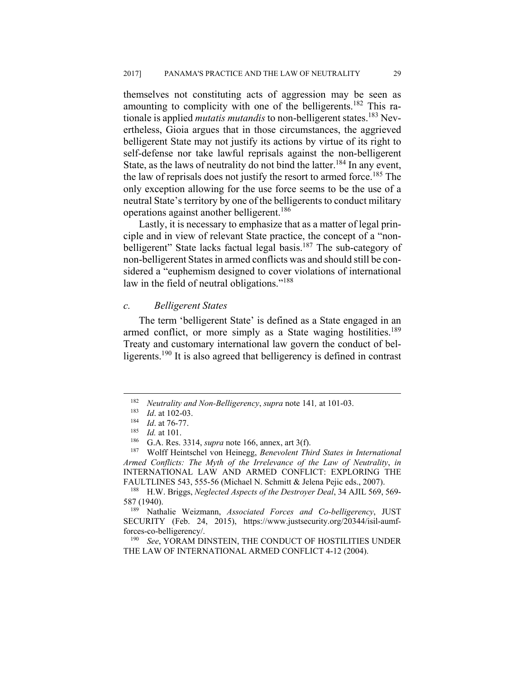themselves not constituting acts of aggression may be seen as amounting to complicity with one of the belligerents.<sup>182</sup> This rationale is applied *mutatis mutandis* to non-belligerent states.183 Nevertheless, Gioia argues that in those circumstances, the aggrieved belligerent State may not justify its actions by virtue of its right to self-defense nor take lawful reprisals against the non-belligerent State, as the laws of neutrality do not bind the latter.<sup>184</sup> In any event, the law of reprisals does not justify the resort to armed force.<sup>185</sup> The only exception allowing for the use force seems to be the use of a neutral State's territory by one of the belligerents to conduct military operations against another belligerent.<sup>186</sup>

Lastly, it is necessary to emphasize that as a matter of legal principle and in view of relevant State practice, the concept of a "nonbelligerent" State lacks factual legal basis.<sup>187</sup> The sub-category of non-belligerent States in armed conflicts was and should still be considered a "euphemism designed to cover violations of international law in the field of neutral obligations."<sup>188</sup>

## *c. Belligerent States*

The term 'belligerent State' is defined as a State engaged in an armed conflict, or more simply as a State waging hostilities.<sup>189</sup> Treaty and customary international law govern the conduct of belligerents.190 It is also agreed that belligerency is defined in contrast

1

<sup>&</sup>lt;sup>182</sup> Neutrality and Non-Belligerency, supra note 141, at 101-03.<br><sup>183</sup> Id. at 102-03.<br><sup>184</sup> Id. at 76-77.<br><sup>185</sup> Id. at 101.<br><sup>186</sup> G.A. Res. 3314, *supra* note 166, annex, art 3(f).<br><sup>186</sup> Wolff Heintschel von Heinegg, *Be Armed Conflicts: The Myth of the Irrelevance of the Law of Neutrality*, *in* INTERNATIONAL LAW AND ARMED CONFLICT: EXPLORING THE

FAULTLINES 543, 555-56 (Michael N. Schmitt & Jelena Pejic eds., 2007). 188 H.W. Briggs, *Neglected Aspects of the Destroyer Deal*, 34 AJIL 569, 569- 587 (1940). 189 Nathalie Weizmann, *Associated Forces and Co-belligerency*, JUST

SECURITY (Feb. 24, 2015), https://www.justsecurity.org/20344/isil-aumfforces-co-belligerency/. 190 *See*, YORAM DINSTEIN, THE CONDUCT OF HOSTILITIES UNDER

THE LAW OF INTERNATIONAL ARMED CONFLICT 4-12 (2004).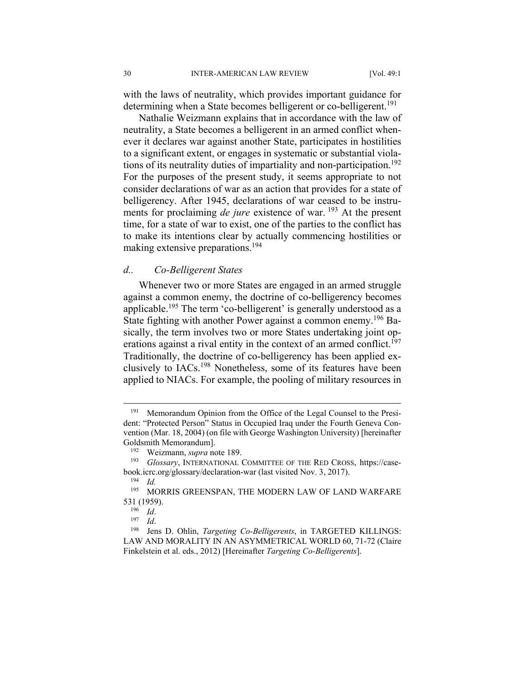with the laws of neutrality, which provides important guidance for determining when a State becomes belligerent or co-belligerent.<sup>191</sup>

Nathalie Weizmann explains that in accordance with the law of neutrality, a State becomes a belligerent in an armed conflict whenever it declares war against another State, participates in hostilities to a significant extent, or engages in systematic or substantial violations of its neutrality duties of impartiality and non-participation.<sup>192</sup> For the purposes of the present study, it seems appropriate to not consider declarations of war as an action that provides for a state of belligerency. After 1945, declarations of war ceased to be instruments for proclaiming *de jure* existence of war. <sup>193</sup> At the present time, for a state of war to exist, one of the parties to the conflict has to make its intentions clear by actually commencing hostilities or making extensive preparations.<sup>194</sup>

## *d.. Co-Belligerent States*

Whenever two or more States are engaged in an armed struggle against a common enemy, the doctrine of co-belligerency becomes applicable.<sup>195</sup> The term 'co-belligerent' is generally understood as a State fighting with another Power against a common enemy.<sup>196</sup> Basically, the term involves two or more States undertaking joint operations against a rival entity in the context of an armed conflict.<sup>197</sup> Traditionally, the doctrine of co-belligerency has been applied exclusively to IACs.198 Nonetheless, some of its features have been applied to NIACs. For example, the pooling of military resources in

<sup>&</sup>lt;sup>191</sup> Memorandum Opinion from the Office of the Legal Counsel to the President: "Protected Person" Status in Occupied Iraq under the Fourth Geneva Convention (Mar. 18, 2004) (on file with George Washington University) [hereinafter Goldsmith Memorandum]. 192 Weizmann, *supra* note 189.

<sup>193</sup> *Glossary*, INTERNATIONAL COMMITTEE OF THE RED CROSS, https://casebook.icrc.org/glossary/declaration-war (last visited Nov. 3, 2017). 194 *Id.*

<sup>&</sup>lt;sup>195</sup> MORRIS GREENSPAN, THE MODERN LAW OF LAND WARFARE 531 (1959).<br><sup>196</sup> *Id.*<br><sup>197</sup> *Id.* 198 Jens D. Ohlin, *Targeting Co-Belligerents*, in TARGETED KILLINGS:

LAW AND MORALITY IN AN ASYMMETRICAL WORLD 60, 71-72 (Claire Finkelstein et al. eds., 2012) [Hereinafter *Targeting Co-Belligerents*].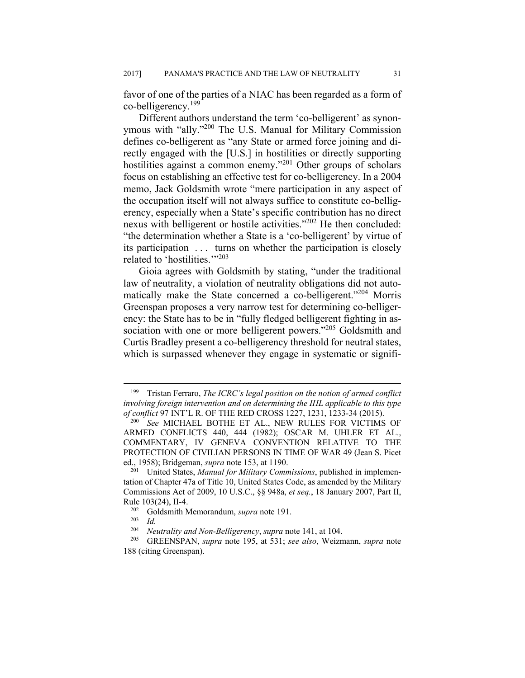favor of one of the parties of a NIAC has been regarded as a form of co-belligerency.199

Different authors understand the term 'co-belligerent' as synonymous with "ally."200 The U.S. Manual for Military Commission defines co-belligerent as "any State or armed force joining and directly engaged with the [U.S.] in hostilities or directly supporting hostilities against a common enemy."201 Other groups of scholars focus on establishing an effective test for co-belligerency. In a 2004 memo, Jack Goldsmith wrote "mere participation in any aspect of the occupation itself will not always suffice to constitute co-belligerency, especially when a State's specific contribution has no direct nexus with belligerent or hostile activities."202 He then concluded: "the determination whether a State is a 'co-belligerent' by virtue of its participation . . . turns on whether the participation is closely related to 'hostilities.'"203

Gioia agrees with Goldsmith by stating, "under the traditional law of neutrality, a violation of neutrality obligations did not automatically make the State concerned a co-belligerent."<sup>204</sup> Morris Greenspan proposes a very narrow test for determining co-belligerency: the State has to be in "fully fledged belligerent fighting in association with one or more belligerent powers."<sup>205</sup> Goldsmith and Curtis Bradley present a co-belligerency threshold for neutral states, which is surpassed whenever they engage in systematic or signifi-

<sup>199</sup> Tristan Ferraro, *The ICRC's legal position on the notion of armed conflict involving foreign intervention and on determining the IHL applicable to this type of conflict* 97 INT'L R. OF THE RED CROSS 1227, 1231, 1233-34 (2015). 200 *See* MICHAEL BOTHE ET AL., NEW RULES FOR VICTIMS OF

ARMED CONFLICTS 440, 444 (1982); OSCAR M. UHLER ET AL., COMMENTARY, IV GENEVA CONVENTION RELATIVE TO THE PROTECTION OF CIVILIAN PERSONS IN TIME OF WAR 49 (Jean S. Picet ed., 1958); Bridgeman, *supra* note 153, at 1190.<br><sup>201</sup> United States, *Manual for Military Commissions*, published in implemen-

tation of Chapter 47a of Title 10, United States Code, as amended by the Military Commissions Act of 2009, 10 U.S.C., §§ 948a, *et seq.*, 18 January 2007, Part II, Rule 103(24), II-4.<br><sup>202</sup> Goldsmith Memorandum, *supra* note 191.<br><sup>203</sup> Id.<br><sup>204</sup> Nautrality and Non-Balligaranay, supra no

<sup>204</sup> *Neutrality and Non-Belligerency*, *supra* note 141, at 104. 205 GREENSPAN, *supra* note 195, at 531; *see also*, Weizmann, *supra* note 188 (citing Greenspan).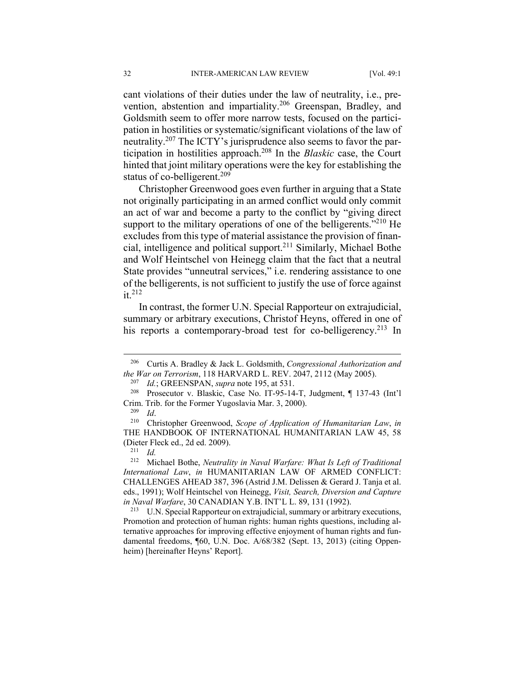cant violations of their duties under the law of neutrality, i.e., prevention, abstention and impartiality.206 Greenspan, Bradley, and Goldsmith seem to offer more narrow tests, focused on the participation in hostilities or systematic/significant violations of the law of neutrality.207 The ICTY's jurisprudence also seems to favor the participation in hostilities approach.208 In the *Blaskic* case, the Court hinted that joint military operations were the key for establishing the status of co-belligerent.<sup>209</sup>

Christopher Greenwood goes even further in arguing that a State not originally participating in an armed conflict would only commit an act of war and become a party to the conflict by "giving direct support to the military operations of one of the belligerents."<sup>210</sup> He excludes from this type of material assistance the provision of financial, intelligence and political support.211 Similarly, Michael Bothe and Wolf Heintschel von Heinegg claim that the fact that a neutral State provides "unneutral services," i.e. rendering assistance to one of the belligerents, is not sufficient to justify the use of force against  $it<sup>212</sup>$ 

In contrast, the former U.N. Special Rapporteur on extrajudicial, summary or arbitrary executions, Christof Heyns, offered in one of his reports a contemporary-broad test for co-belligerency.<sup>213</sup> In

<sup>206</sup> Curtis A. Bradley & Jack L. Goldsmith, *Congressional Authorization and the War on Terrorism*, 118 HARVARD L. REV. 2047, 2112 (May 2005).<br><sup>207</sup> *Id.*; GREENSPAN, *supra* note 195, at 531.<br><sup>208</sup> Prosecutor v. Blaskic, Case No. IT-95-14-T, Judgment, ¶ 137-43 (Int'l

Crim. Trib. for the Former Yugoslavia Mar. 3, 2000). 209 *Id*. 210 Christopher Greenwood, *Scope of Application of Humanitarian Law*, *in* 

THE HANDBOOK OF INTERNATIONAL HUMANITARIAN LAW 45, 58 (Dieter Fleck ed., 2d ed. 2009). 211 *Id.*

<sup>212</sup> Michael Bothe, *Neutrality in Naval Warfare: What Is Left of Traditional International Law*, *in* HUMANITARIAN LAW OF ARMED CONFLICT: CHALLENGES AHEAD 387, 396 (Astrid J.M. Delissen & Gerard J. Tanja et al. eds., 1991); Wolf Heintschel von Heinegg, *Visit, Search, Diversion and Capture in Naval Warfare*, 30 CANADIAN Y.B. INT'L L. 89, 131 (1992).<br><sup>213</sup> U.N. Special Rapporteur on extrajudicial, summary or arbitrary executions,

Promotion and protection of human rights: human rights questions, including alternative approaches for improving effective enjoyment of human rights and fundamental freedoms, ¶60, U.N. Doc. A/68/382 (Sept. 13, 2013) (citing Oppenheim) [hereinafter Heyns' Report].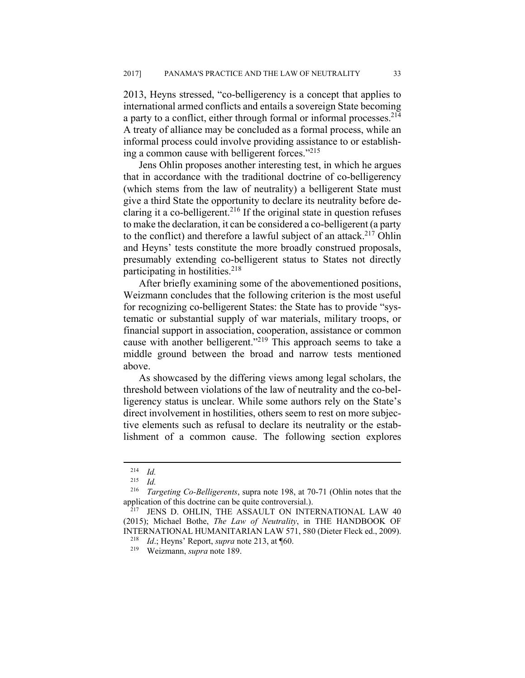2013, Heyns stressed, "co-belligerency is a concept that applies to international armed conflicts and entails a sovereign State becoming a party to a conflict, either through formal or informal processes.<sup>214</sup> A treaty of alliance may be concluded as a formal process, while an informal process could involve providing assistance to or establishing a common cause with belligerent forces."215

Jens Ohlin proposes another interesting test, in which he argues that in accordance with the traditional doctrine of co-belligerency (which stems from the law of neutrality) a belligerent State must give a third State the opportunity to declare its neutrality before declaring it a co-belligerent.<sup>216</sup> If the original state in question refuses to make the declaration, it can be considered a co-belligerent (a party to the conflict) and therefore a lawful subject of an attack.<sup>217</sup> Ohlin and Heyns' tests constitute the more broadly construed proposals, presumably extending co-belligerent status to States not directly participating in hostilities.<sup>218</sup>

After briefly examining some of the abovementioned positions, Weizmann concludes that the following criterion is the most useful for recognizing co-belligerent States: the State has to provide "systematic or substantial supply of war materials, military troops, or financial support in association, cooperation, assistance or common cause with another belligerent."219 This approach seems to take a middle ground between the broad and narrow tests mentioned above.

As showcased by the differing views among legal scholars, the threshold between violations of the law of neutrality and the co-belligerency status is unclear. While some authors rely on the State's direct involvement in hostilities, others seem to rest on more subjective elements such as refusal to declare its neutrality or the establishment of a common cause. The following section explores

 $\frac{214}{215}$  *Id.* 

<sup>215</sup> *Id.*

<sup>&</sup>lt;sup>216</sup> *Targeting Co-Belligerents*, supra note 198, at 70-71 (Ohlin notes that the application of this doctrine can be quite controversial.).

 $217$  JENS D. OHLIN, THE ASSAULT ON INTERNATIONAL LAW 40 (2015); Michael Bothe, *The Law of Neutrality*, in THE HANDBOOK OF INTERNATIONAL HUMANITARIAN LAW 571, 580 (Dieter Fleck ed., 2009). 218 *Id*.; Heyns' Report, *supra* note 213, at ¶60. 219 Weizmann, *supra* note 189.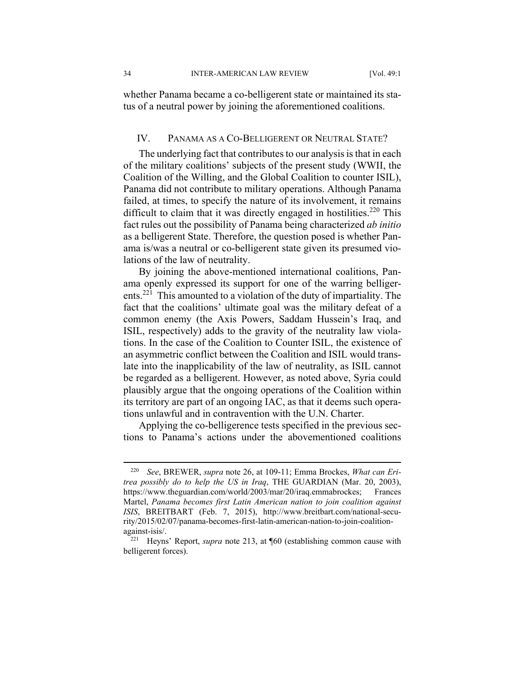34 INTER-AMERICAN LAW REVIEW [Vol. 49:1

whether Panama became a co-belligerent state or maintained its status of a neutral power by joining the aforementioned coalitions.

## IV. PANAMA AS A CO-BELLIGERENT OR NEUTRAL STATE?

The underlying fact that contributes to our analysis is that in each of the military coalitions' subjects of the present study (WWII, the Coalition of the Willing, and the Global Coalition to counter ISIL), Panama did not contribute to military operations. Although Panama failed, at times, to specify the nature of its involvement, it remains difficult to claim that it was directly engaged in hostilities.<sup>220</sup> This fact rules out the possibility of Panama being characterized *ab initio* as a belligerent State. Therefore, the question posed is whether Panama is/was a neutral or co-belligerent state given its presumed violations of the law of neutrality.

By joining the above-mentioned international coalitions, Panama openly expressed its support for one of the warring belligerents.221 This amounted to a violation of the duty of impartiality. The fact that the coalitions' ultimate goal was the military defeat of a common enemy (the Axis Powers, Saddam Hussein's Iraq, and ISIL, respectively) adds to the gravity of the neutrality law violations. In the case of the Coalition to Counter ISIL, the existence of an asymmetric conflict between the Coalition and ISIL would translate into the inapplicability of the law of neutrality, as ISIL cannot be regarded as a belligerent. However, as noted above, Syria could plausibly argue that the ongoing operations of the Coalition within its territory are part of an ongoing IAC, as that it deems such operations unlawful and in contravention with the U.N. Charter.

Applying the co-belligerence tests specified in the previous sections to Panama's actions under the abovementioned coalitions

<sup>220</sup> *See*, BREWER, *supra* note 26, at 109-11; Emma Brockes, *What can Eritrea possibly do to help the US in Iraq*, THE GUARDIAN (Mar. 20, 2003), https://www.theguardian.com/world/2003/mar/20/iraq.emmabrockes; Frances Martel, *Panama becomes first Latin American nation to join coalition against ISIS*, BREITBART (Feb. 7, 2015), http://www.breitbart.com/national-security/2015/02/07/panama-becomes-first-latin-american-nation-to-join-coalitionagainst-isis/. 221 Heyns' Report, *supra* note 213, at ¶60 (establishing common cause with

belligerent forces).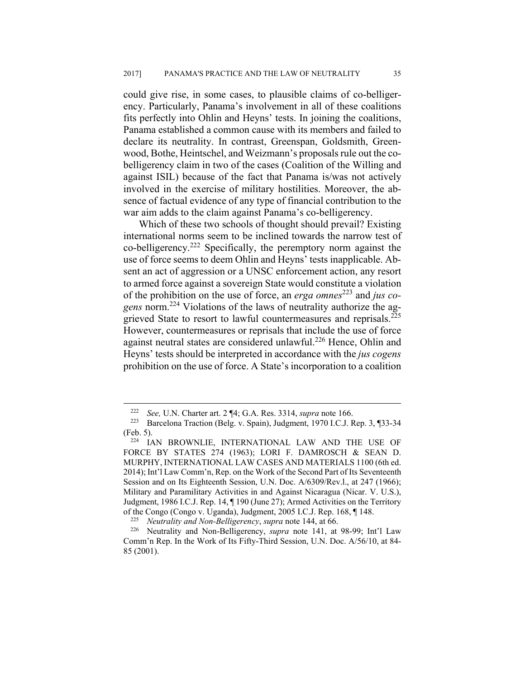could give rise, in some cases, to plausible claims of co-belligerency. Particularly, Panama's involvement in all of these coalitions fits perfectly into Ohlin and Heyns' tests. In joining the coalitions, Panama established a common cause with its members and failed to declare its neutrality. In contrast, Greenspan, Goldsmith, Greenwood, Bothe, Heintschel, and Weizmann's proposals rule out the cobelligerency claim in two of the cases (Coalition of the Willing and against ISIL) because of the fact that Panama is/was not actively involved in the exercise of military hostilities. Moreover, the absence of factual evidence of any type of financial contribution to the war aim adds to the claim against Panama's co-belligerency.

Which of these two schools of thought should prevail? Existing international norms seem to be inclined towards the narrow test of co-belligerency.222 Specifically, the peremptory norm against the use of force seems to deem Ohlin and Heyns' tests inapplicable. Absent an act of aggression or a UNSC enforcement action, any resort to armed force against a sovereign State would constitute a violation of the prohibition on the use of force, an *erga omnes*223 and *jus cogens* norm.224 Violations of the laws of neutrality authorize the aggrieved State to resort to lawful countermeasures and reprisals.<sup>225</sup> However, countermeasures or reprisals that include the use of force against neutral states are considered unlawful.<sup>226</sup> Hence, Ohlin and Heyns' tests should be interpreted in accordance with the *jus cogens* prohibition on the use of force. A State's incorporation to a coalition

<sup>&</sup>lt;sup>222</sup> See, U.N. Charter art. 2 ¶4; G.A. Res. 3314, *supra* note 166.<br><sup>223</sup> Barcelona Traction (Belg. v. Spain), Judgment, 1970 I.C.J. Rep. 3, ¶33-34

<sup>(</sup>Feb. 5).<br><sup>224</sup> IAN BROWNLIE, INTERNATIONAL LAW AND THE USE OF FORCE BY STATES 274 (1963); LORI F. DAMROSCH & SEAN D. MURPHY, INTERNATIONAL LAW CASES AND MATERIALS 1100 (6th ed. 2014); Int'l Law Comm'n, Rep. on the Work of the Second Part of Its Seventeenth Session and on Its Eighteenth Session, U.N. Doc. A/6309/Rev.l., at 247 (1966); Military and Paramilitary Activities in and Against Nicaragua (Nicar. V. U.S.), Judgment, 1986 I.C.J. Rep. 14, ¶ 190 (June 27); Armed Activities on the Territory of the Congo (Congo v. Uganda), Judgment, 2005 I.C.J. Rep. 168, ¶ 148. 225 *Neutrality and Non-Belligerency*, *supra* note 144, at 66. 226 Neutrality and Non-Belligerency, *supra* note 141, at 98-99; Int'l Law

Comm'n Rep. In the Work of Its Fifty-Third Session, U.N. Doc. A/56/10, at 84- 85 (2001).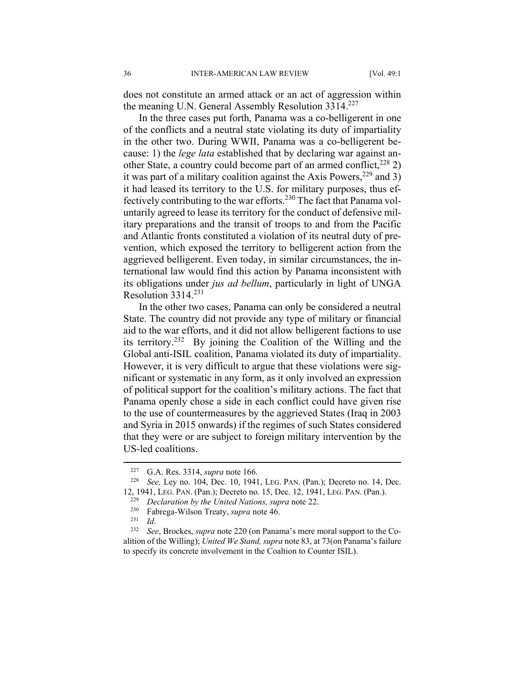does not constitute an armed attack or an act of aggression within the meaning U.N. General Assembly Resolution 3314.<sup>227</sup>

In the three cases put forth, Panama was a co-belligerent in one of the conflicts and a neutral state violating its duty of impartiality in the other two. During WWII, Panama was a co-belligerent because: 1) the *lege lata* established that by declaring war against another State, a country could become part of an armed conflict,  $228$  2) it was part of a military coalition against the Axis Powers,  $229$  and 3) it had leased its territory to the U.S. for military purposes, thus effectively contributing to the war efforts.230 The fact that Panama voluntarily agreed to lease its territory for the conduct of defensive military preparations and the transit of troops to and from the Pacific and Atlantic fronts constituted a violation of its neutral duty of prevention, which exposed the territory to belligerent action from the aggrieved belligerent. Even today, in similar circumstances, the international law would find this action by Panama inconsistent with its obligations under *jus ad bellum*, particularly in light of UNGA Resolution  $3314.<sup>231</sup>$ 

In the other two cases, Panama can only be considered a neutral State. The country did not provide any type of military or financial aid to the war efforts, and it did not allow belligerent factions to use its territory.232 By joining the Coalition of the Willing and the Global anti-ISIL coalition, Panama violated its duty of impartiality. However, it is very difficult to argue that these violations were significant or systematic in any form, as it only involved an expression of political support for the coalition's military actions. The fact that Panama openly chose a side in each conflict could have given rise to the use of countermeasures by the aggrieved States (Iraq in 2003 and Syria in 2015 onwards) if the regimes of such States considered that they were or are subject to foreign military intervention by the US-led coalitions.

<u>.</u>

<sup>227</sup> G.A. Res. 3314, *supra* note 166. 228 *See,* Ley no. 104, Dec. 10, 1941, LEG. PAN. (Pan.); Decreto no. 14, Dec. 12, 1941, LEG. PAN. (Pan.); Decreto no. 15, Dec. 12, 1941, LEG. PAN. (Pan.).<br>
<sup>229</sup> *Declaration by the United Nations, supra* note 22.<br>
<sup>230</sup> Fabrega-Wilson Treaty, *supra* note 46.<br>
<sup>231</sup> *Id.*<br>
<sup>232</sup> *See*, Brockes, *s* 

alition of the Willing); *United We Stand, supra* note 83, at 73(on Panama's failure to specify its concrete involvement in the Coaltion to Counter ISIL).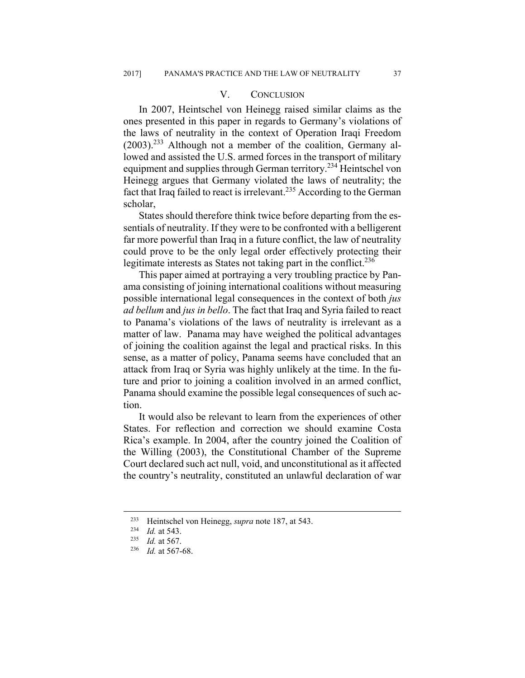## V. CONCLUSION

In 2007, Heintschel von Heinegg raised similar claims as the ones presented in this paper in regards to Germany's violations of the laws of neutrality in the context of Operation Iraqi Freedom  $(2003)$ <sup>233</sup> Although not a member of the coalition, Germany allowed and assisted the U.S. armed forces in the transport of military equipment and supplies through German territory.<sup>234</sup> Heintschel von Heinegg argues that Germany violated the laws of neutrality; the fact that Iraq failed to react is irrelevant.<sup>235</sup> According to the German scholar,

States should therefore think twice before departing from the essentials of neutrality. If they were to be confronted with a belligerent far more powerful than Iraq in a future conflict, the law of neutrality could prove to be the only legal order effectively protecting their legitimate interests as States not taking part in the conflict.<sup>236</sup>

This paper aimed at portraying a very troubling practice by Panama consisting of joining international coalitions without measuring possible international legal consequences in the context of both *jus ad bellum* and *jus in bello*. The fact that Iraq and Syria failed to react to Panama's violations of the laws of neutrality is irrelevant as a matter of law. Panama may have weighed the political advantages of joining the coalition against the legal and practical risks. In this sense, as a matter of policy, Panama seems have concluded that an attack from Iraq or Syria was highly unlikely at the time. In the future and prior to joining a coalition involved in an armed conflict, Panama should examine the possible legal consequences of such action.

It would also be relevant to learn from the experiences of other States. For reflection and correction we should examine Costa Rica's example. In 2004, after the country joined the Coalition of the Willing (2003), the Constitutional Chamber of the Supreme Court declared such act null, void, and unconstitutional as it affected the country's neutrality, constituted an unlawful declaration of war

<sup>233</sup> Heintschel von Heinegg, *supra* note 187, at 543. 234 *Id.* at 543. 235 *Id.* at 567. 236 *Id.* at 567-68.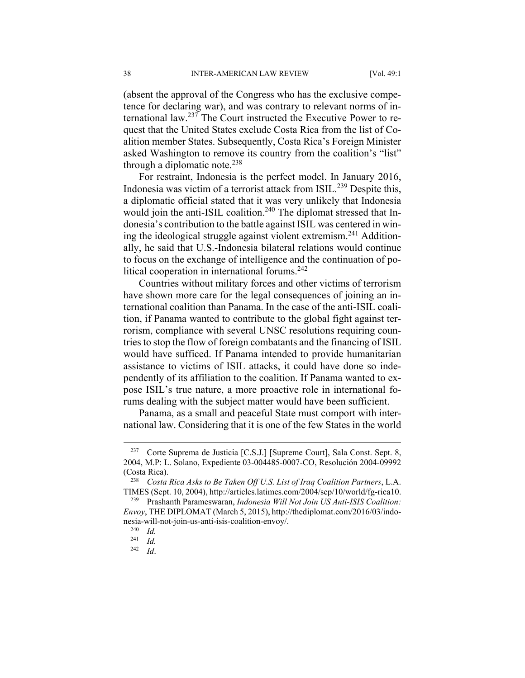(absent the approval of the Congress who has the exclusive competence for declaring war), and was contrary to relevant norms of international law.237 The Court instructed the Executive Power to request that the United States exclude Costa Rica from the list of Coalition member States. Subsequently, Costa Rica's Foreign Minister asked Washington to remove its country from the coalition's "list" through a diplomatic note.<sup>238</sup>

For restraint, Indonesia is the perfect model. In January 2016, Indonesia was victim of a terrorist attack from ISIL.239 Despite this, a diplomatic official stated that it was very unlikely that Indonesia would join the anti-ISIL coalition.<sup>240</sup> The diplomat stressed that Indonesia's contribution to the battle against ISIL was centered in wining the ideological struggle against violent extremism.<sup>241</sup> Additionally, he said that U.S.-Indonesia bilateral relations would continue to focus on the exchange of intelligence and the continuation of political cooperation in international forums.<sup>242</sup>

Countries without military forces and other victims of terrorism have shown more care for the legal consequences of joining an international coalition than Panama. In the case of the anti-ISIL coalition, if Panama wanted to contribute to the global fight against terrorism, compliance with several UNSC resolutions requiring countries to stop the flow of foreign combatants and the financing of ISIL would have sufficed. If Panama intended to provide humanitarian assistance to victims of ISIL attacks, it could have done so independently of its affiliation to the coalition. If Panama wanted to expose ISIL's true nature, a more proactive role in international forums dealing with the subject matter would have been sufficient.

Panama, as a small and peaceful State must comport with international law. Considering that it is one of the few States in the world

<sup>237</sup> Corte Suprema de Justicia [C.S.J.] [Supreme Court], Sala Const. Sept. 8, 2004, M.P: L. Solano, Expediente 03-004485-0007-CO, Resolución 2004-09992 (Costa Rica). 238 *Costa Rica Asks to Be Taken Off U.S. List of Iraq Coalition Partners*, L.A.

TIMES (Sept. 10, 2004), http://articles.latimes.com/2004/sep/10/world/fg-rica10. 239 Prashanth Parameswaran, *Indonesia Will Not Join US Anti-ISIS Coalition:* 

*Envoy*, THE DIPLOMAT (March 5, 2015), http://thediplomat.com/2016/03/indonesia-will-not-join-us-anti-isis-coalition-envoy/. 240 *Id.*

 $\frac{241}{242}$  *Id.* 

<sup>242</sup> *Id*.